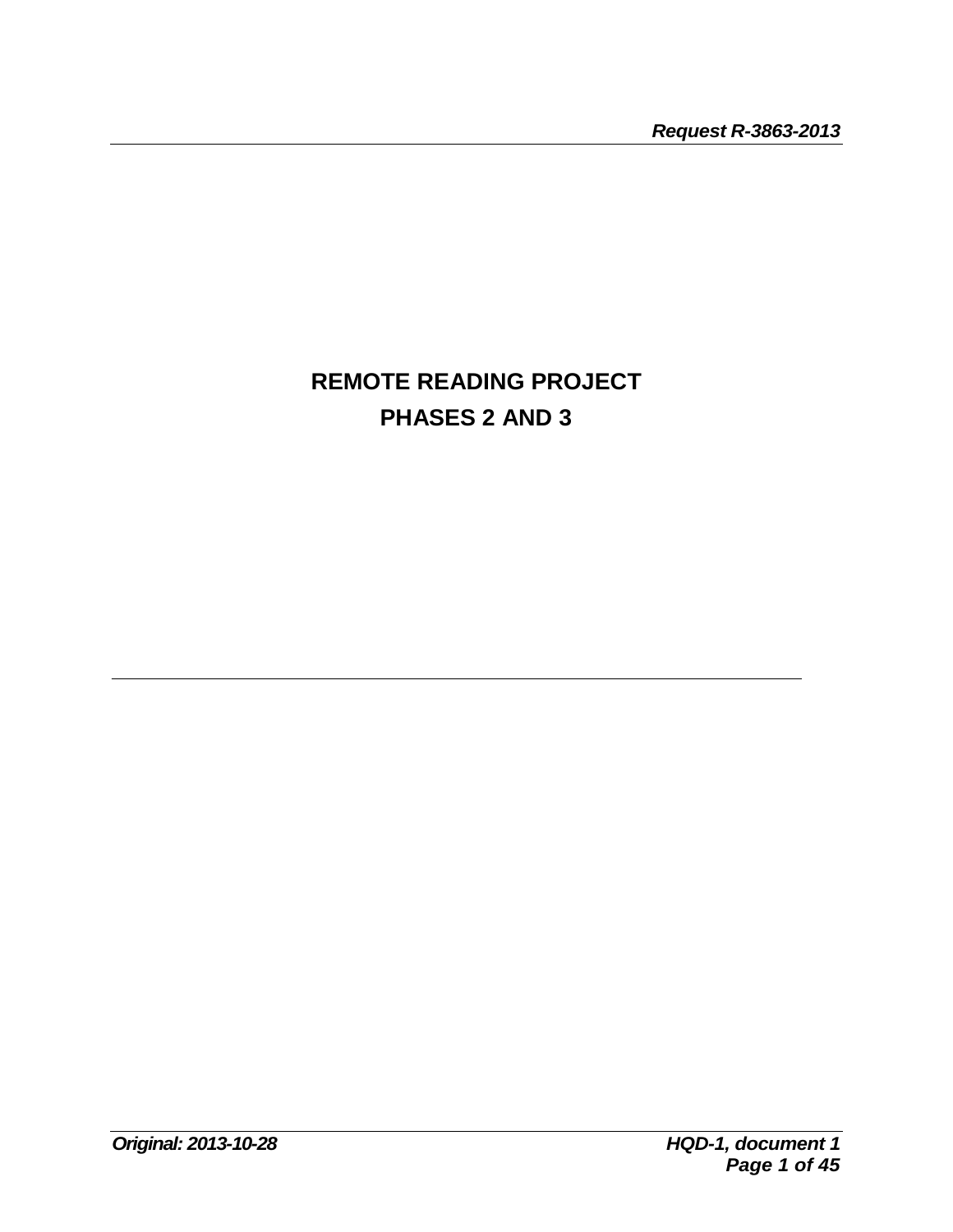# **REMOTE READING PROJECT PHASES 2 AND 3**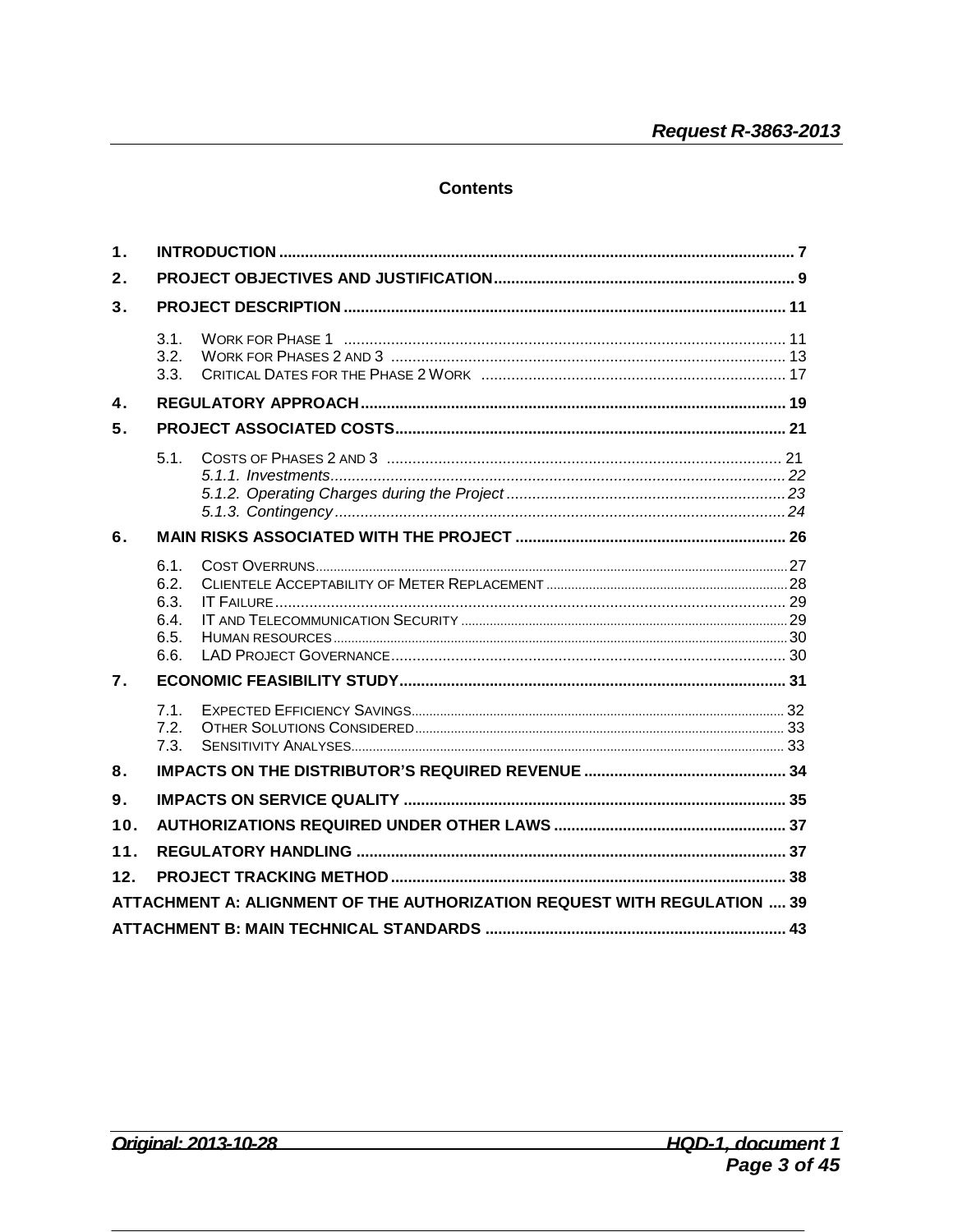#### **Contents**

| $\mathbf 1$ .  |                                              |                                                                          |  |  |  |  |  |  |
|----------------|----------------------------------------------|--------------------------------------------------------------------------|--|--|--|--|--|--|
| 2.             |                                              |                                                                          |  |  |  |  |  |  |
| 3 <sub>1</sub> |                                              |                                                                          |  |  |  |  |  |  |
|                | 3.1.<br>3.2.<br>3.3.                         |                                                                          |  |  |  |  |  |  |
| 4.             |                                              |                                                                          |  |  |  |  |  |  |
| 5.             |                                              |                                                                          |  |  |  |  |  |  |
|                | 5.1.                                         |                                                                          |  |  |  |  |  |  |
| 6.             |                                              |                                                                          |  |  |  |  |  |  |
|                | 6.1.<br>6.2.<br>6.3.<br>6.4.<br>6.5.<br>6.6. |                                                                          |  |  |  |  |  |  |
| 7.             |                                              |                                                                          |  |  |  |  |  |  |
|                | 7.1.<br>7.2.<br>7.3.                         |                                                                          |  |  |  |  |  |  |
| 8.             |                                              |                                                                          |  |  |  |  |  |  |
| 9 <sub>1</sub> |                                              |                                                                          |  |  |  |  |  |  |
| 10.            |                                              |                                                                          |  |  |  |  |  |  |
| 11.<br>12.     |                                              |                                                                          |  |  |  |  |  |  |
|                |                                              | ATTACHMENT A: ALIGNMENT OF THE AUTHORIZATION REQUEST WITH REGULATION  39 |  |  |  |  |  |  |
|                |                                              |                                                                          |  |  |  |  |  |  |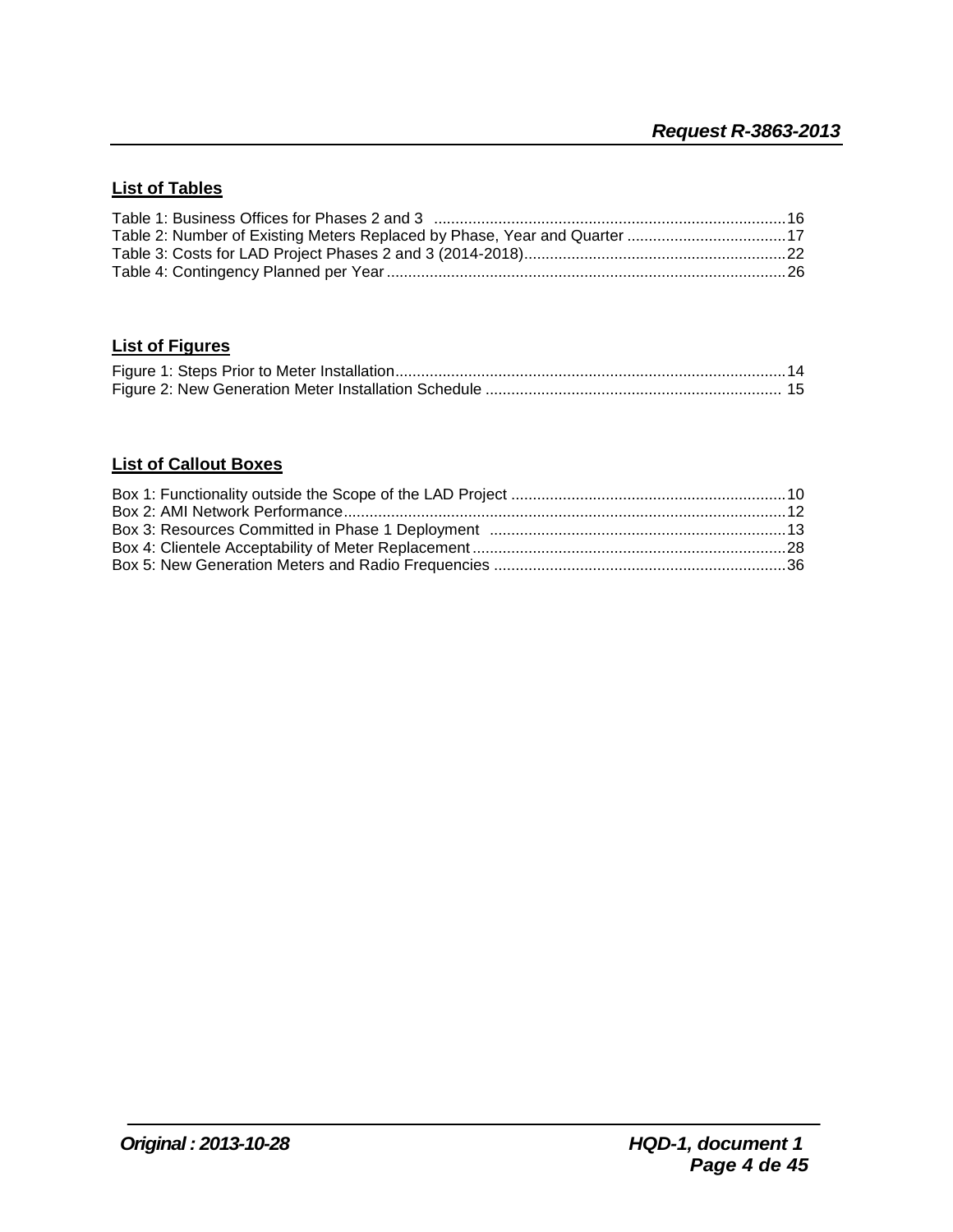## **List of Tables**

## **List of Figures**

## **List of Callout Boxes**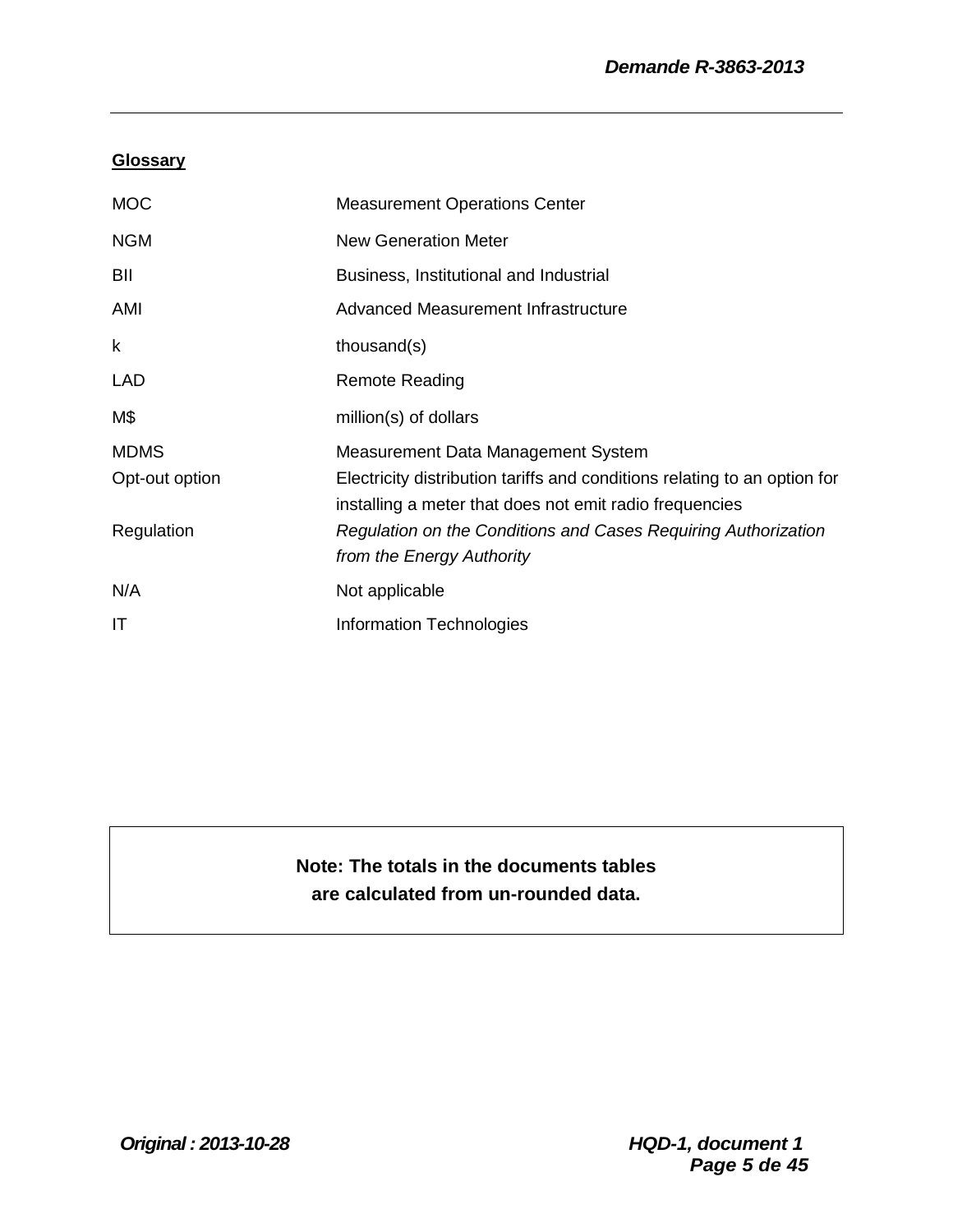## **Glossary**

| <b>MOC</b>     | <b>Measurement Operations Center</b>                                                                                                 |
|----------------|--------------------------------------------------------------------------------------------------------------------------------------|
| <b>NGM</b>     | <b>New Generation Meter</b>                                                                                                          |
| BII            | Business, Institutional and Industrial                                                                                               |
| AMI            | Advanced Measurement Infrastructure                                                                                                  |
| k              | thousand(s)                                                                                                                          |
| <b>LAD</b>     | Remote Reading                                                                                                                       |
| M\$            | million(s) of dollars                                                                                                                |
| <b>MDMS</b>    | Measurement Data Management System                                                                                                   |
| Opt-out option | Electricity distribution tariffs and conditions relating to an option for<br>installing a meter that does not emit radio frequencies |
| Regulation     | Regulation on the Conditions and Cases Requiring Authorization<br>from the Energy Authority                                          |
| N/A            | Not applicable                                                                                                                       |
| IT             | <b>Information Technologies</b>                                                                                                      |

## **Note: The totals in the documents tables are calculated from un-rounded data.**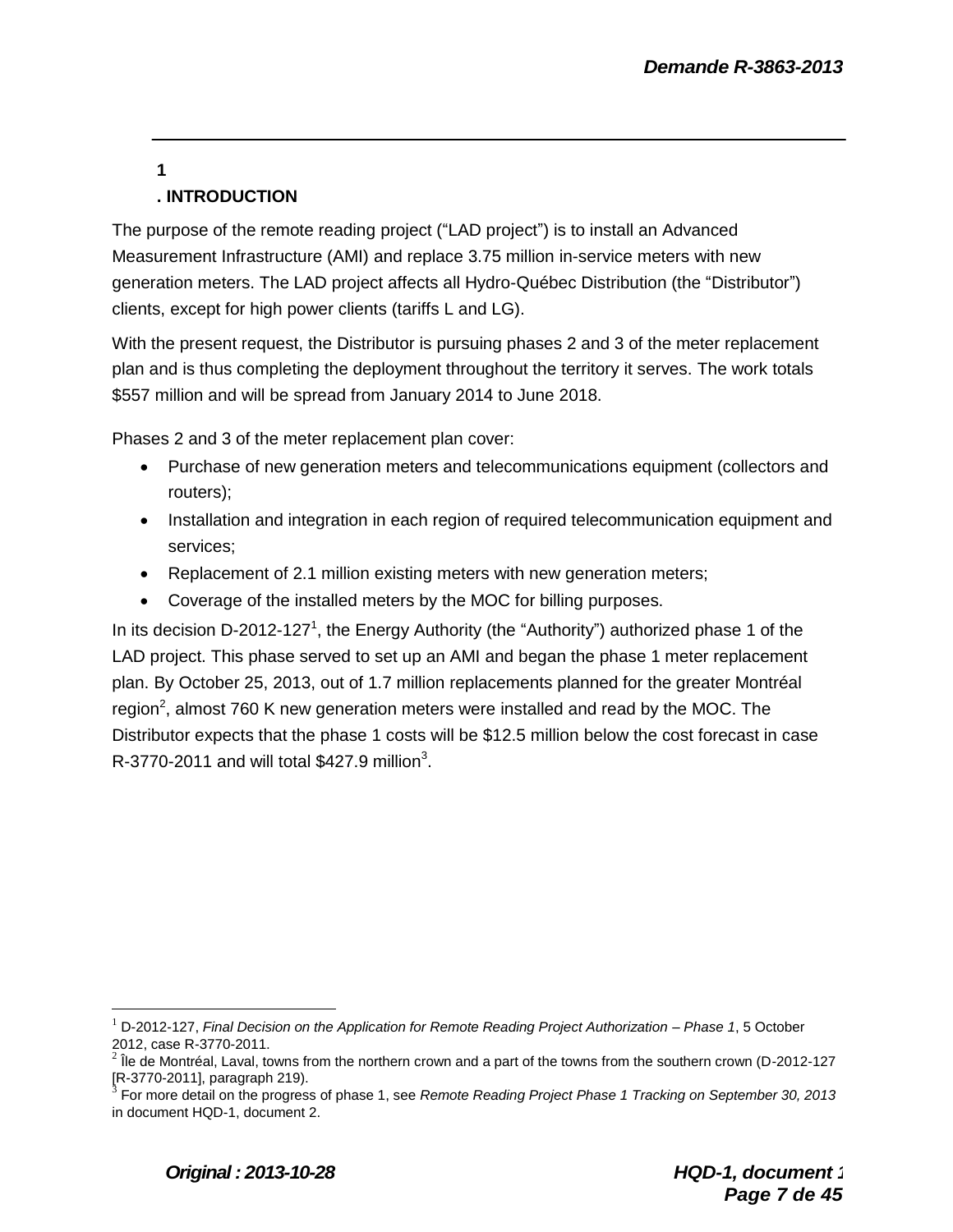#### **1 . INTRODUCTION**

The purpose of the remote reading project ("LAD project") is to install an Advanced Measurement Infrastructure (AMI) and replace 3.75 million in-service meters with new generation meters. The LAD project affects all Hydro-Québec Distribution (the "Distributor") clients, except for high power clients (tariffs L and LG).

With the present request, the Distributor is pursuing phases 2 and 3 of the meter replacement plan and is thus completing the deployment throughout the territory it serves. The work totals \$557 million and will be spread from January 2014 to June 2018.

Phases 2 and 3 of the meter replacement plan cover:

- Purchase of new generation meters and telecommunications equipment (collectors and routers);
- Installation and integration in each region of required telecommunication equipment and services;
- Replacement of 2.1 million existing meters with new generation meters;
- Coverage of the installed meters by the MOC for billing purposes.

In its decision D-2012-127<sup>1</sup>, the Energy Authority (the "Authority") authorized phase 1 of the LAD project. This phase served to set up an AMI and began the phase 1 meter replacement plan. By October 25, 2013, out of 1.7 million replacements planned for the greater Montréal region<sup>2</sup>, almost 760 K new generation meters were installed and read by the MOC. The Distributor expects that the phase 1 costs will be \$12.5 million below the cost forecast in case R-3770-2011 and will total \$427.9 million<sup>3</sup>.

<sup>1</sup> D-2012-127, *Final Decision on the Application for Remote Reading Project Authorization – Phase 1*, 5 October 2012, case R-3770-2011.

 $^2$  Île de Montréal, Laval, towns from the northern crown and a part of the towns from the southern crown (D-2012-127 [R-3770-2011], paragraph 219).<br><sup>3</sup> Eer mare detail an the pregree

For more detail on the progress of phase 1, see *Remote Reading Project Phase 1 Tracking on September 30, 2013* in document HQD-1, document 2.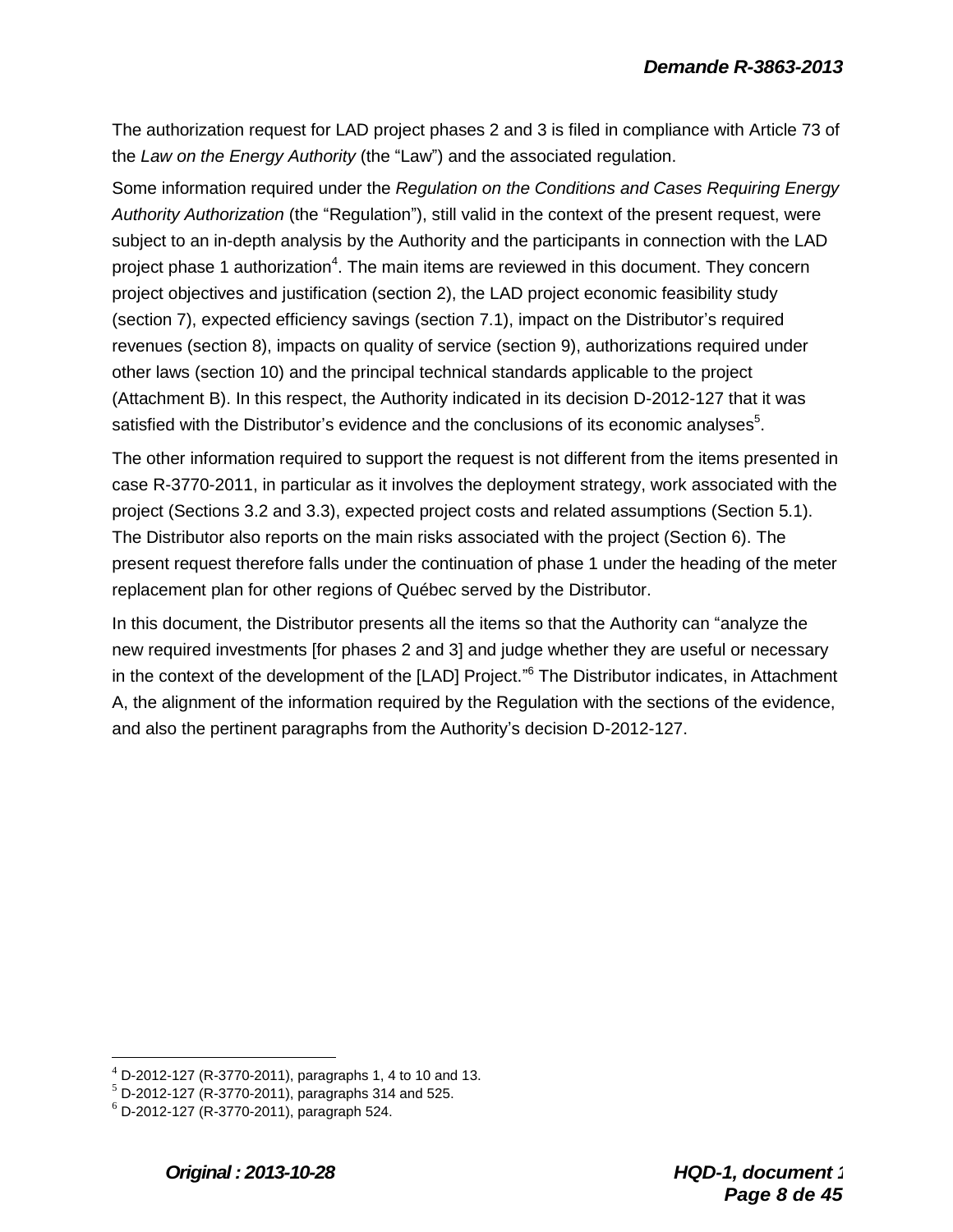The authorization request for LAD project phases 2 and 3 is filed in compliance with Article 73 of the *Law on the Energy Authority* (the "Law") and the associated regulation.

Some information required under the *Regulation on the Conditions and Cases Requiring Energy Authority Authorization* (the "Regulation"), still valid in the context of the present request, were subject to an in-depth analysis by the Authority and the participants in connection with the LAD project phase 1 authorization<sup>4</sup>. The main items are reviewed in this document. They concern project objectives and justification (section 2), the LAD project economic feasibility study (section 7), expected efficiency savings (section 7.1), impact on the Distributor's required revenues (section 8), impacts on quality of service (section 9), authorizations required under other laws (section 10) and the principal technical standards applicable to the project (Attachment B). In this respect, the Authority indicated in its decision D-2012-127 that it was satisfied with the Distributor's evidence and the conclusions of its economic analyses $5$ .

The other information required to support the request is not different from the items presented in case R-3770-2011, in particular as it involves the deployment strategy, work associated with the project (Sections 3.2 and 3.3), expected project costs and related assumptions (Section 5.1). The Distributor also reports on the main risks associated with the project (Section 6). The present request therefore falls under the continuation of phase 1 under the heading of the meter replacement plan for other regions of Québec served by the Distributor.

In this document, the Distributor presents all the items so that the Authority can "analyze the new required investments [for phases 2 and 3] and judge whether they are useful or necessary in the context of the development of the [LAD] Project." <sup>6</sup> The Distributor indicates, in Attachment A, the alignment of the information required by the Regulation with the sections of the evidence, and also the pertinent paragraphs from the Authority's decision D-2012-127.

 $4$  D-2012-127 (R-3770-2011), paragraphs 1, 4 to 10 and 13.

 $<sup>5</sup>$  D-2012-127 (R-3770-2011), paragraphs 314 and 525.</sup>

 $6$  D-2012-127 (R-3770-2011), paragraph 524.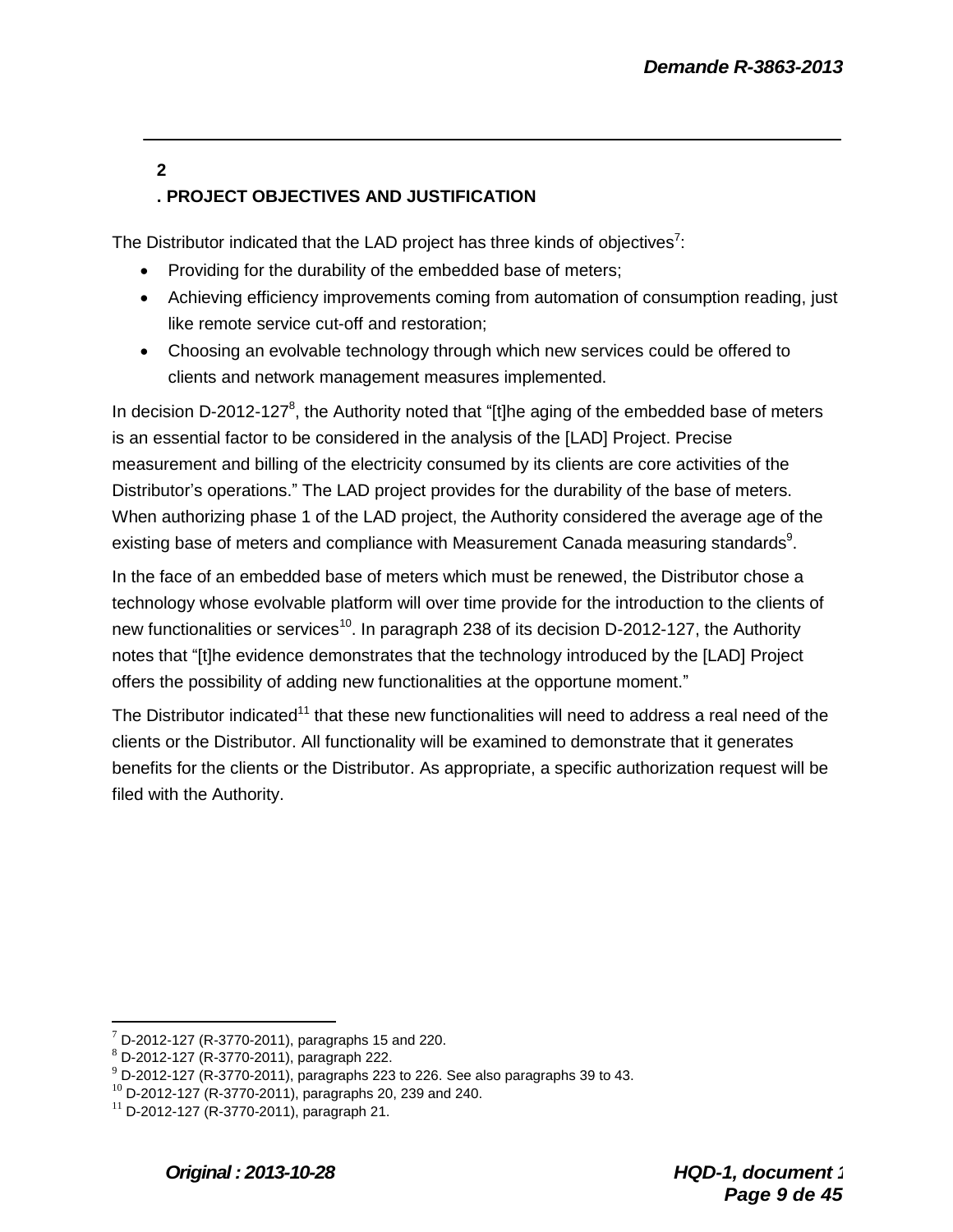## **2 . PROJECT OBJECTIVES AND JUSTIFICATION**

The Distributor indicated that the LAD project has three kinds of objectives<sup>7</sup>:

- Providing for the durability of the embedded base of meters;
- Achieving efficiency improvements coming from automation of consumption reading, just like remote service cut-off and restoration;
- Choosing an evolvable technology through which new services could be offered to clients and network management measures implemented.

In decision D-2012-127 $<sup>8</sup>$ , the Authority noted that "[t]he aging of the embedded base of meters</sup> is an essential factor to be considered in the analysis of the [LAD] Project. Precise measurement and billing of the electricity consumed by its clients are core activities of the Distributor's operations." The LAD project provides for the durability of the base of meters. When authorizing phase 1 of the LAD project, the Authority considered the average age of the existing base of meters and compliance with Measurement Canada measuring standards $^9$ .

In the face of an embedded base of meters which must be renewed, the Distributor chose a technology whose evolvable platform will over time provide for the introduction to the clients of new functionalities or services<sup>10</sup>. In paragraph 238 of its decision D-2012-127, the Authority notes that "[t]he evidence demonstrates that the technology introduced by the [LAD] Project offers the possibility of adding new functionalities at the opportune moment."

The Distributor indicated<sup>11</sup> that these new functionalities will need to address a real need of the clients or the Distributor. All functionality will be examined to demonstrate that it generates benefits for the clients or the Distributor. As appropriate, a specific authorization request will be filed with the Authority.

 $7$  D-2012-127 (R-3770-2011), paragraphs 15 and 220.

 $8$  D-2012-127 (R-3770-2011), paragraph 222.

 $^{9}$  D-2012-127 (R-3770-2011), paragraphs 223 to 226. See also paragraphs 39 to 43.

 $^{10}$  D-2012-127 (R-3770-2011), paragraphs 20, 239 and 240.

 $11$  D-2012-127 (R-3770-2011), paragraph 21.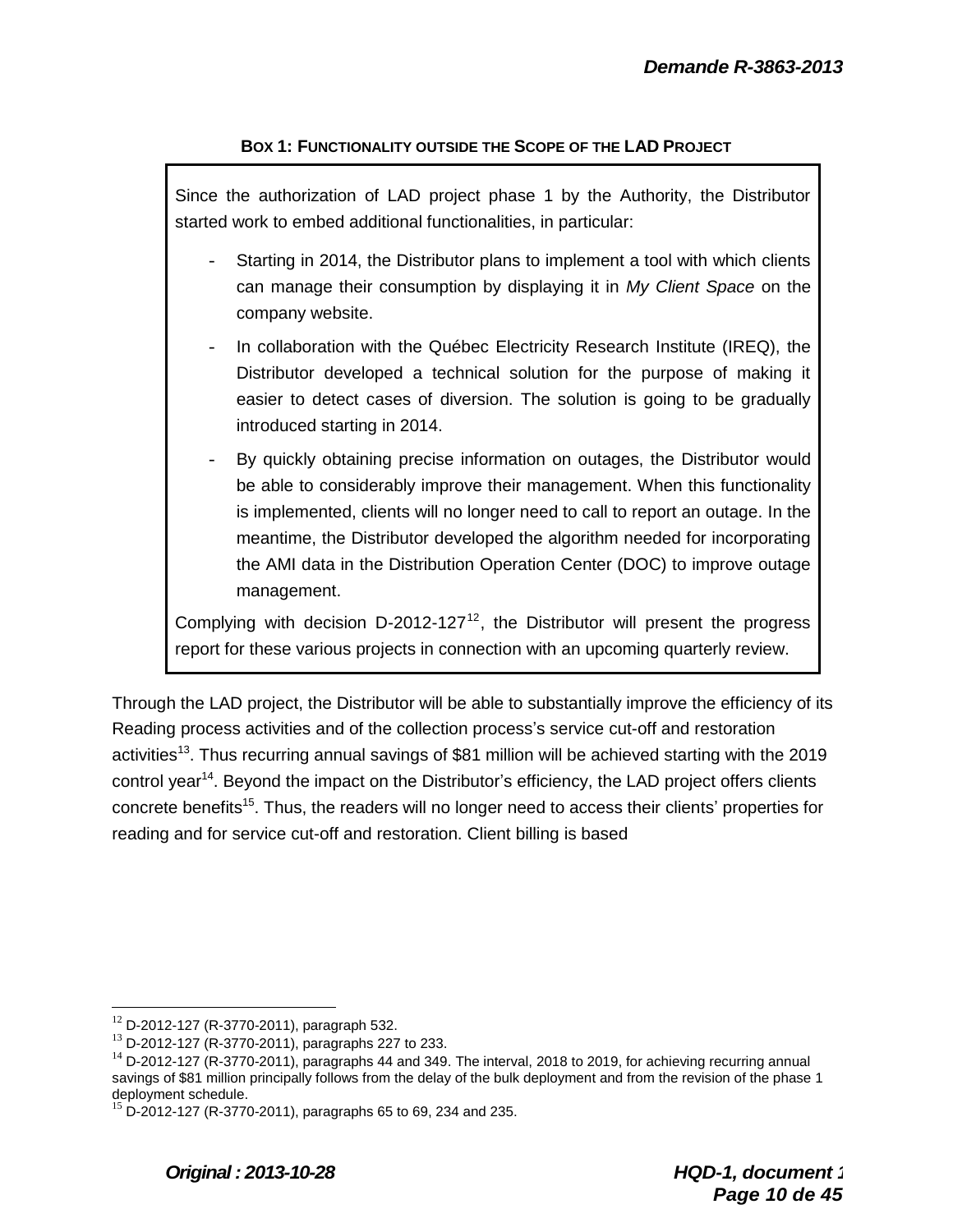#### **BOX 1: FUNCTIONALITY OUTSIDE THE SCOPE OF THE LAD PROJECT**

Since the authorization of LAD project phase 1 by the Authority, the Distributor started work to embed additional functionalities, in particular:

- Starting in 2014, the Distributor plans to implement a tool with which clients can manage their consumption by displaying it in *My Client Space* on the company website.
- In collaboration with the Québec Electricity Research Institute (IREQ), the Distributor developed a technical solution for the purpose of making it easier to detect cases of diversion. The solution is going to be gradually introduced starting in 2014.
- By quickly obtaining precise information on outages, the Distributor would be able to considerably improve their management. When this functionality is implemented, clients will no longer need to call to report an outage. In the meantime, the Distributor developed the algorithm needed for incorporating the AMI data in the Distribution Operation Center (DOC) to improve outage management.

Complying with decision  $D-2012-127^{12}$ , the Distributor will present the progress report for these various projects in connection with an upcoming quarterly review.

Through the LAD project, the Distributor will be able to substantially improve the efficiency of its Reading process activities and of the collection process's service cut-off and restoration activities<sup>13</sup>. Thus recurring annual savings of \$81 million will be achieved starting with the 2019 control year<sup>14</sup>. Beyond the impact on the Distributor's efficiency, the LAD project offers clients concrete benefits<sup>15</sup>. Thus, the readers will no longer need to access their clients' properties for reading and for service cut-off and restoration. Client billing is based

 $12$  D-2012-127 (R-3770-2011), paragraph 532.

<sup>&</sup>lt;sup>13</sup> D-2012-127 (R-3770-2011), paragraphs 227 to 233.

 $14$  D-2012-127 (R-3770-2011), paragraphs 44 and 349. The interval, 2018 to 2019, for achieving recurring annual savings of \$81 million principally follows from the delay of the bulk deployment and from the revision of the phase 1 deployment schedule.

<sup>&</sup>lt;sup>15</sup> D-2012-127 (R-3770-2011), paragraphs 65 to 69, 234 and 235.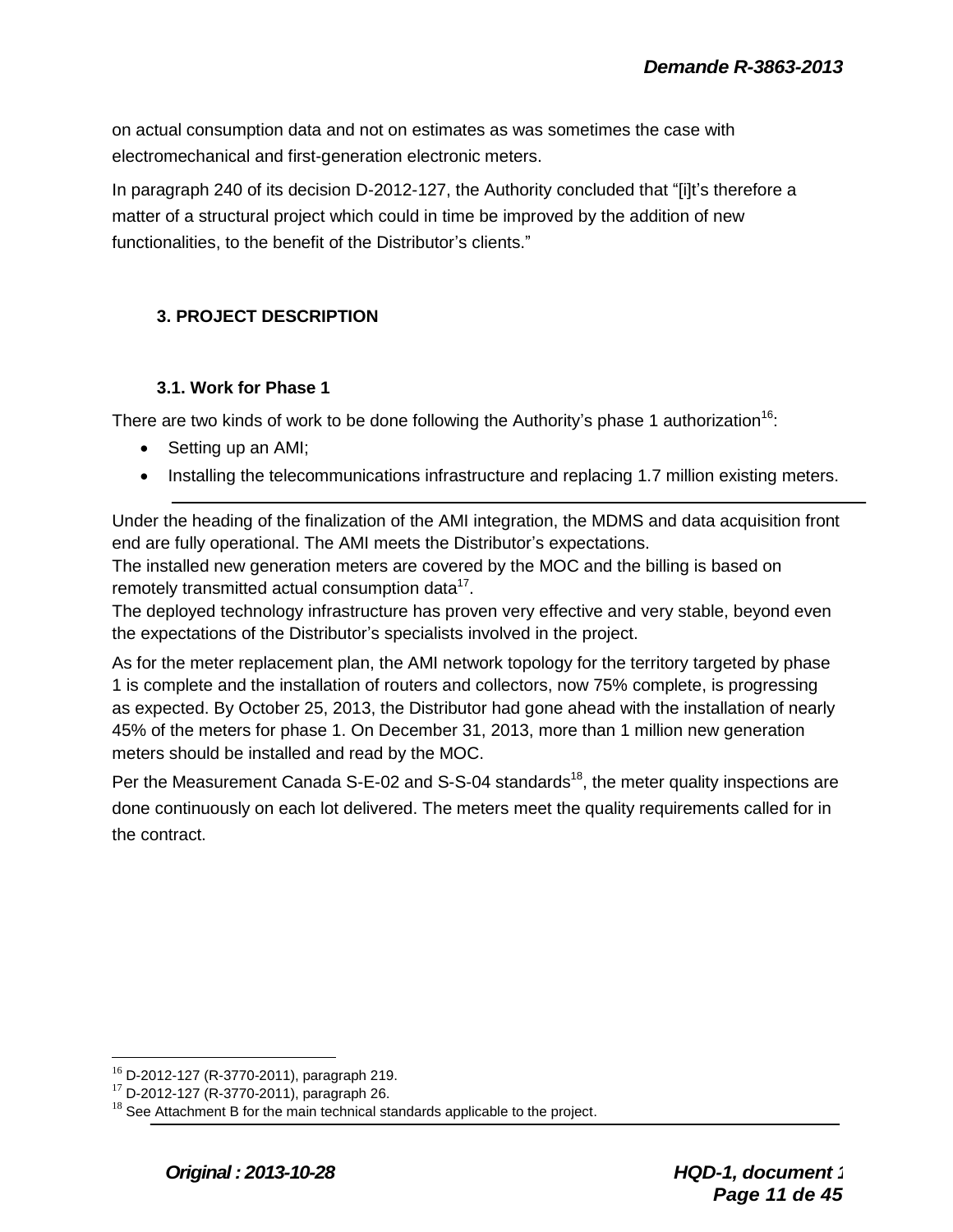on actual consumption data and not on estimates as was sometimes the case with electromechanical and first-generation electronic meters.

In paragraph 240 of its decision D-2012-127, the Authority concluded that "[i]t's therefore a matter of a structural project which could in time be improved by the addition of new functionalities, to the benefit of the Distributor's clients."

## **3. PROJECT DESCRIPTION**

## **3.1. Work for Phase 1**

There are two kinds of work to be done following the Authority's phase 1 authorization<sup>16</sup>:

- Setting up an AMI;
- Installing the telecommunications infrastructure and replacing 1.7 million existing meters.

Under the heading of the finalization of the AMI integration, the MDMS and data acquisition front end are fully operational. The AMI meets the Distributor's expectations.

The installed new generation meters are covered by the MOC and the billing is based on remotely transmitted actual consumption data $^{17}$ .

The deployed technology infrastructure has proven very effective and very stable, beyond even the expectations of the Distributor's specialists involved in the project.

As for the meter replacement plan, the AMI network topology for the territory targeted by phase 1 is complete and the installation of routers and collectors, now 75% complete, is progressing as expected. By October 25, 2013, the Distributor had gone ahead with the installation of nearly 45% of the meters for phase 1. On December 31, 2013, more than 1 million new generation meters should be installed and read by the MOC.

Per the Measurement Canada S-E-02 and S-S-04 standards<sup>18</sup>, the meter quality inspections are done continuously on each lot delivered. The meters meet the quality requirements called for in the contract.

 $16$  D-2012-127 (R-3770-2011), paragraph 219.

 $17$  D-2012-127 (R-3770-2011), paragraph 26.

 $18$  See Attachment B for the main technical standards applicable to the project.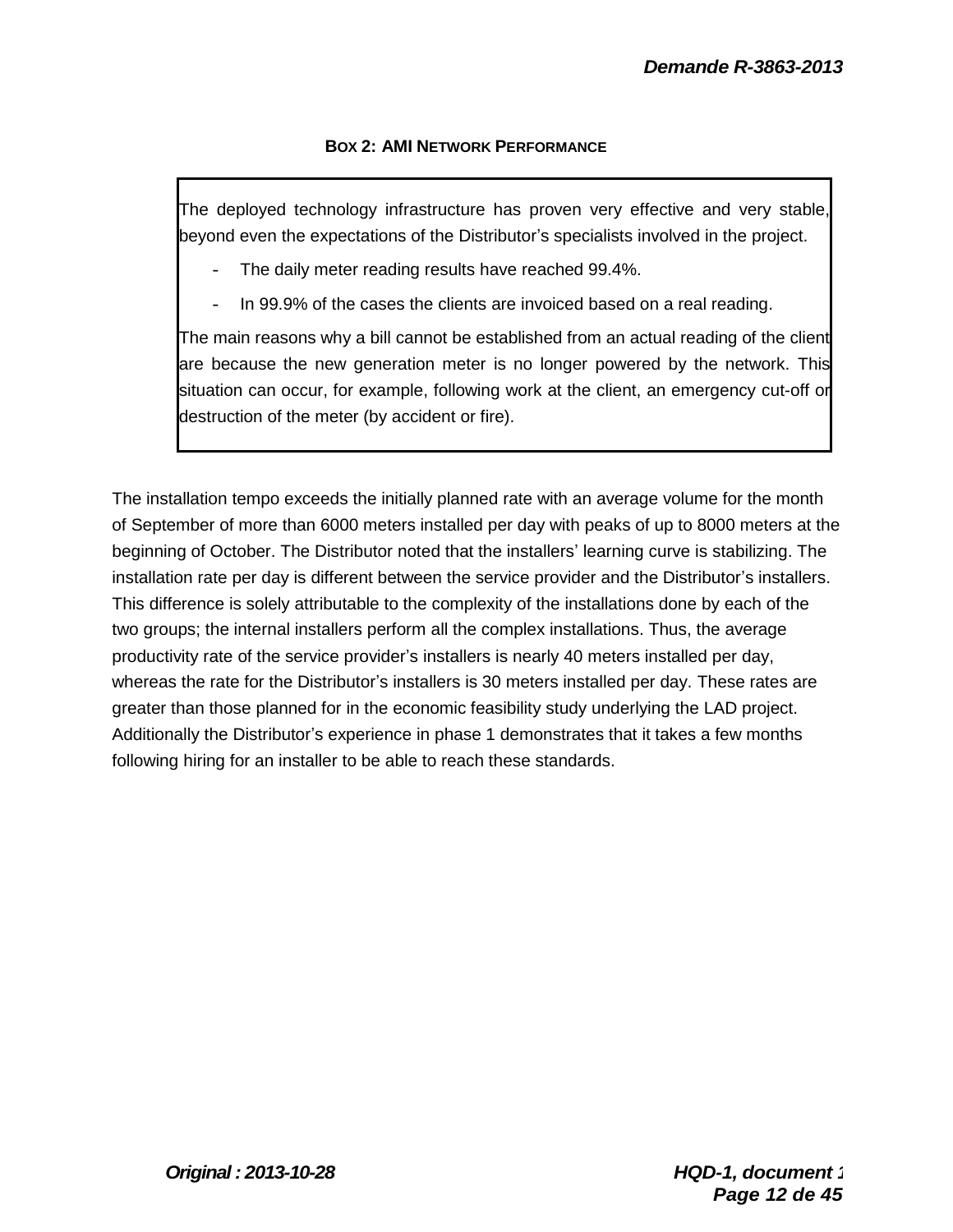#### **BOX 2: AMI NETWORK PERFORMANCE**

The deployed technology infrastructure has proven very effective and very stable, beyond even the expectations of the Distributor's specialists involved in the project.

- The daily meter reading results have reached 99.4%.
- In 99.9% of the cases the clients are invoiced based on a real reading.

The main reasons why a bill cannot be established from an actual reading of the client are because the new generation meter is no longer powered by the network. This situation can occur, for example, following work at the client, an emergency cut-off or destruction of the meter (by accident or fire).

The installation tempo exceeds the initially planned rate with an average volume for the month of September of more than 6000 meters installed per day with peaks of up to 8000 meters at the beginning of October. The Distributor noted that the installers' learning curve is stabilizing. The installation rate per day is different between the service provider and the Distributor's installers. This difference is solely attributable to the complexity of the installations done by each of the two groups; the internal installers perform all the complex installations. Thus, the average productivity rate of the service provider's installers is nearly 40 meters installed per day, whereas the rate for the Distributor's installers is 30 meters installed per day. These rates are greater than those planned for in the economic feasibility study underlying the LAD project. Additionally the Distributor's experience in phase 1 demonstrates that it takes a few months following hiring for an installer to be able to reach these standards.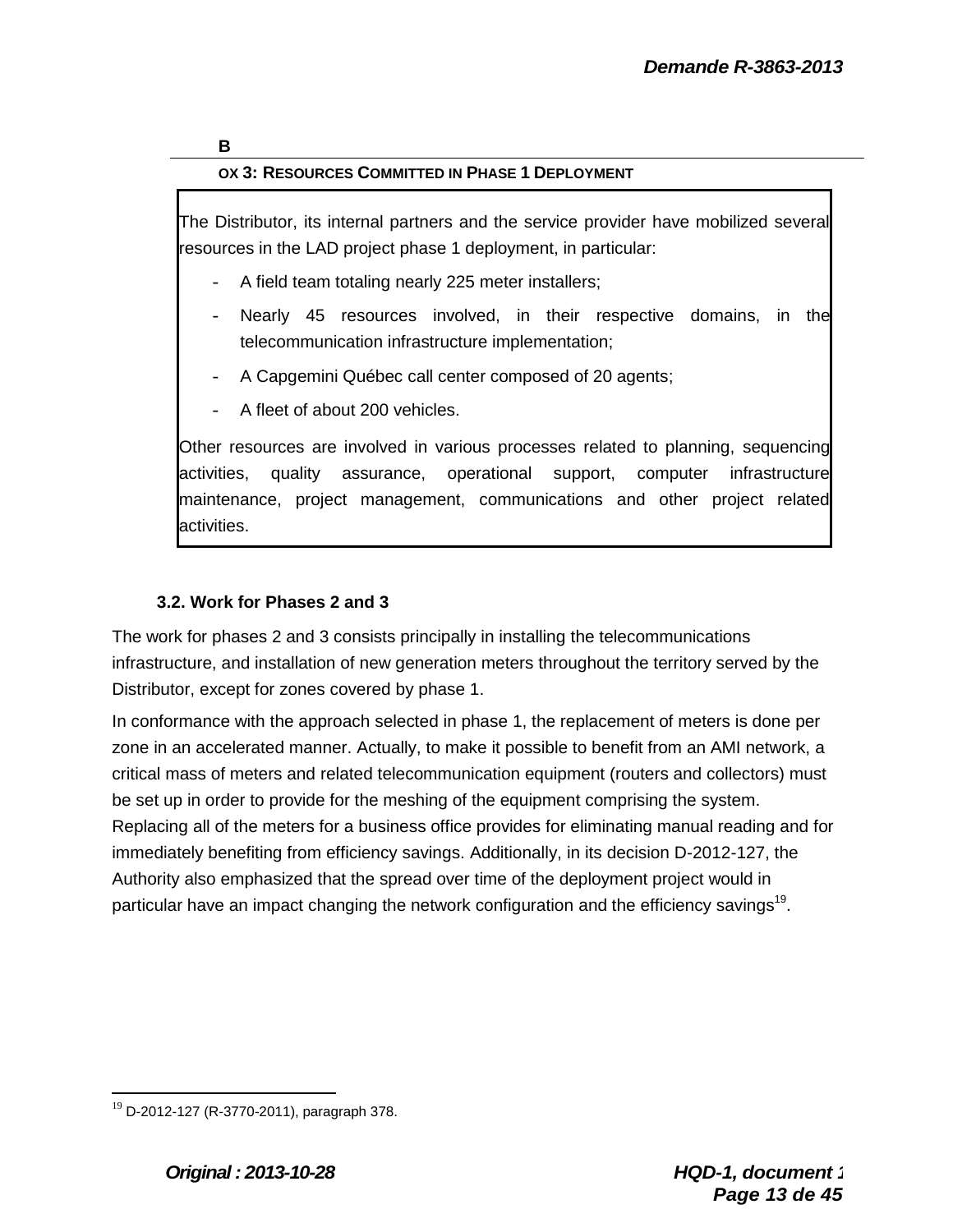#### **B OX 3: RESOURCES COMMITTED IN PHASE 1 DEPLOYMENT**

The Distributor, its internal partners and the service provider have mobilized several resources in the LAD project phase 1 deployment, in particular:

- A field team totaling nearly 225 meter installers;
- Nearly 45 resources involved, in their respective domains, in the telecommunication infrastructure implementation;
- A Capgemini Québec call center composed of 20 agents;
- A fleet of about 200 vehicles.

Other resources are involved in various processes related to planning, sequencing activities, quality assurance, operational support, computer infrastructure maintenance, project management, communications and other project related activities.

## **3.2. Work for Phases 2 and 3**

The work for phases 2 and 3 consists principally in installing the telecommunications infrastructure, and installation of new generation meters throughout the territory served by the Distributor, except for zones covered by phase 1.

In conformance with the approach selected in phase 1, the replacement of meters is done per zone in an accelerated manner. Actually, to make it possible to benefit from an AMI network, a critical mass of meters and related telecommunication equipment (routers and collectors) must be set up in order to provide for the meshing of the equipment comprising the system. Replacing all of the meters for a business office provides for eliminating manual reading and for immediately benefiting from efficiency savings. Additionally, in its decision D-2012-127, the Authority also emphasized that the spread over time of the deployment project would in particular have an impact changing the network configuration and the efficiency savings<sup>19</sup>.

 $19$  D-2012-127 (R-3770-2011), paragraph 378.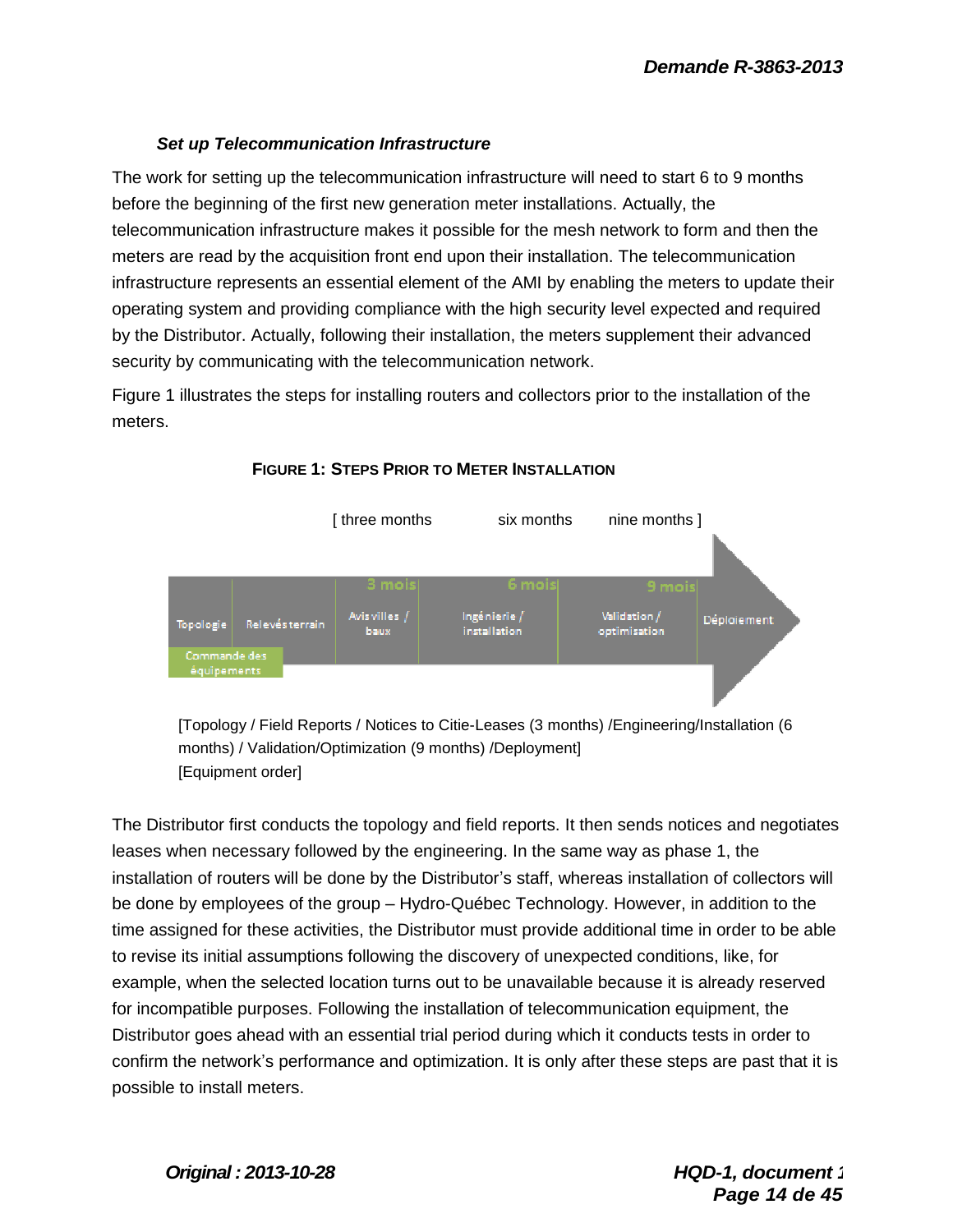#### *Set up Telecommunication Infrastructure*

The work for setting up the telecommunication infrastructure will need to start 6 to 9 months before the beginning of the first new generation meter installations. Actually, the telecommunication infrastructure makes it possible for the mesh network to form and then the meters are read by the acquisition front end upon their installation. The telecommunication infrastructure represents an essential element of the AMI by enabling the meters to update their operating system and providing compliance with the high security level expected and required by the Distributor. Actually, following their installation, the meters supplement their advanced security by communicating with the telecommunication network.

Figure 1 illustrates the steps for installing routers and collectors prior to the installation of the meters.



**FIGURE 1: STEPS PRIOR TO METER INSTALLATION**

[Topology / Field Reports / Notices to Citie-Leases (3 months) /Engineering/Installation (6 months) / Validation/Optimization (9 months) /Deployment] [Equipment order]

The Distributor first conducts the topology and field reports. It then sends notices and negotiates leases when necessary followed by the engineering. In the same way as phase 1, the installation of routers will be done by the Distributor's staff, whereas installation of collectors will be done by employees of the group – Hydro-Québec Technology. However, in addition to the time assigned for these activities, the Distributor must provide additional time in order to be able to revise its initial assumptions following the discovery of unexpected conditions, like, for example, when the selected location turns out to be unavailable because it is already reserved for incompatible purposes. Following the installation of telecommunication equipment, the Distributor goes ahead with an essential trial period during which it conducts tests in order to confirm the network's performance and optimization. It is only after these steps are past that it is possible to install meters.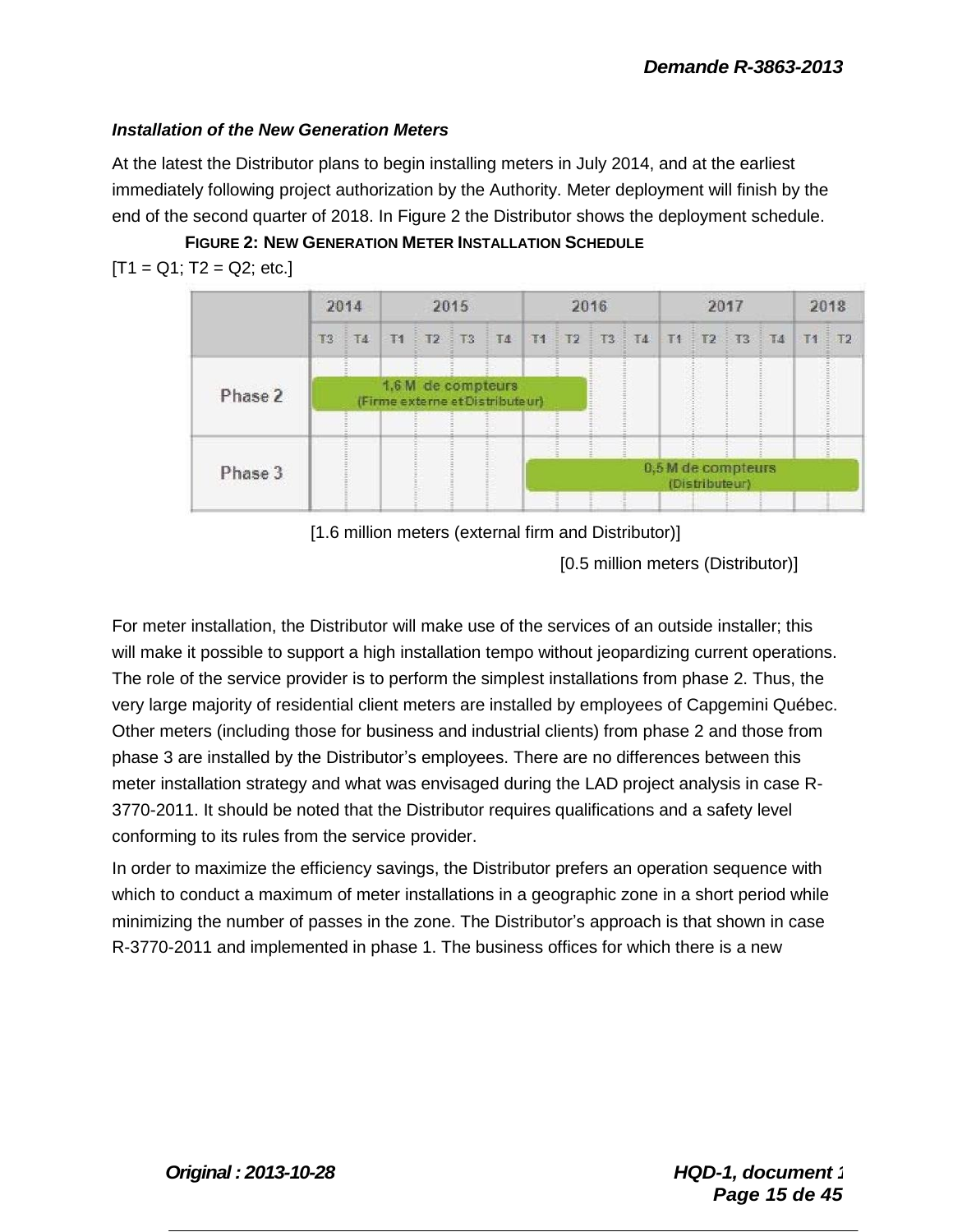## *Installation of the New Generation Meters*

At the latest the Distributor plans to begin installing meters in July 2014, and at the earliest immediately following project authorization by the Authority. Meter deployment will finish by the end of the second quarter of 2018. In Figure 2 the Distributor shows the deployment schedule.



**FIGURE 2: NEW GENERATION METER INSTALLATION SCHEDULE**  $[T1 = Q1; T2 = Q2; etc.]$ 

[1.6 million meters (external firm and Distributor)]

[0.5 million meters (Distributor)]

For meter installation, the Distributor will make use of the services of an outside installer; this will make it possible to support a high installation tempo without jeopardizing current operations. The role of the service provider is to perform the simplest installations from phase 2. Thus, the very large majority of residential client meters are installed by employees of Capgemini Québec. Other meters (including those for business and industrial clients) from phase 2 and those from phase 3 are installed by the Distributor's employees. There are no differences between this meter installation strategy and what was envisaged during the LAD project analysis in case R-3770-2011. It should be noted that the Distributor requires qualifications and a safety level conforming to its rules from the service provider.

In order to maximize the efficiency savings, the Distributor prefers an operation sequence with which to conduct a maximum of meter installations in a geographic zone in a short period while minimizing the number of passes in the zone. The Distributor's approach is that shown in case R-3770-2011 and implemented in phase 1. The business offices for which there is a new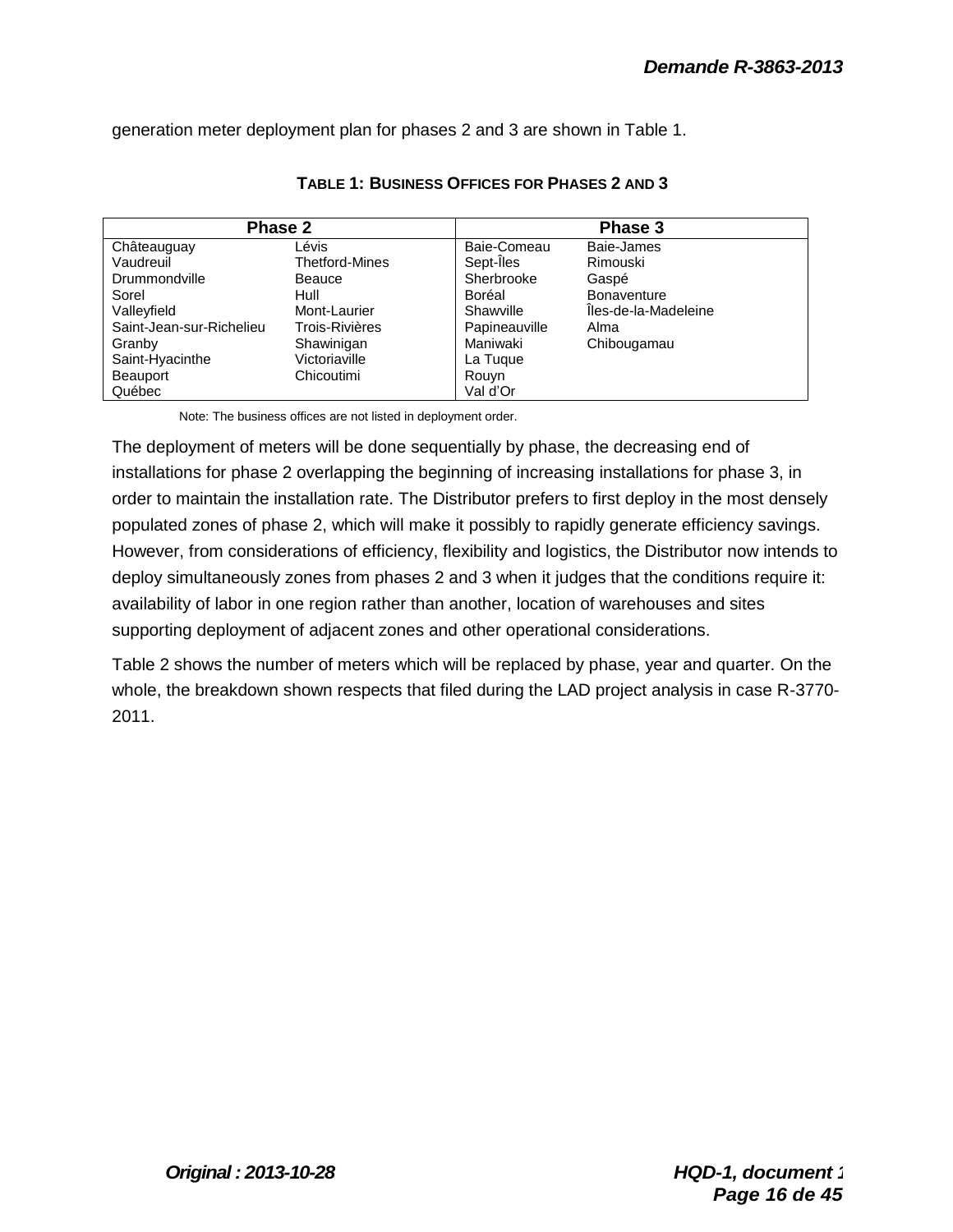generation meter deployment plan for phases 2 and 3 are shown in Table 1.

| Phase 2                  |                |               | Phase 3              |
|--------------------------|----------------|---------------|----------------------|
| Châteauguay              | Lévis          | Baie-Comeau   | Baie-James           |
| Vaudreuil                | Thetford-Mines | Sept-Iles     | Rimouski             |
| Drummondville            | Beauce         | Sherbrooke    | Gaspé                |
| Sorel                    | Hull           | Boréal        | <b>Bonaventure</b>   |
| Valleyfield              | Mont-Laurier   | Shawville     | Îles-de-la-Madeleine |
| Saint-Jean-sur-Richelieu | Trois-Rivières | Papineauville | Alma                 |
| Granby                   | Shawinigan     | Maniwaki      | Chibougamau          |
| Saint-Hyacinthe          | Victoriaville  | La Tuque      |                      |
| Beauport                 | Chicoutimi     | Rouyn         |                      |
| Québec                   |                | Val d'Or      |                      |

#### **TABLE 1: BUSINESS OFFICES FOR PHASES 2 AND 3**

Note: The business offices are not listed in deployment order.

The deployment of meters will be done sequentially by phase, the decreasing end of installations for phase 2 overlapping the beginning of increasing installations for phase 3, in order to maintain the installation rate. The Distributor prefers to first deploy in the most densely populated zones of phase 2, which will make it possibly to rapidly generate efficiency savings. However, from considerations of efficiency, flexibility and logistics, the Distributor now intends to deploy simultaneously zones from phases 2 and 3 when it judges that the conditions require it: availability of labor in one region rather than another, location of warehouses and sites supporting deployment of adjacent zones and other operational considerations.

Table 2 shows the number of meters which will be replaced by phase, year and quarter. On the whole, the breakdown shown respects that filed during the LAD project analysis in case R-3770- 2011.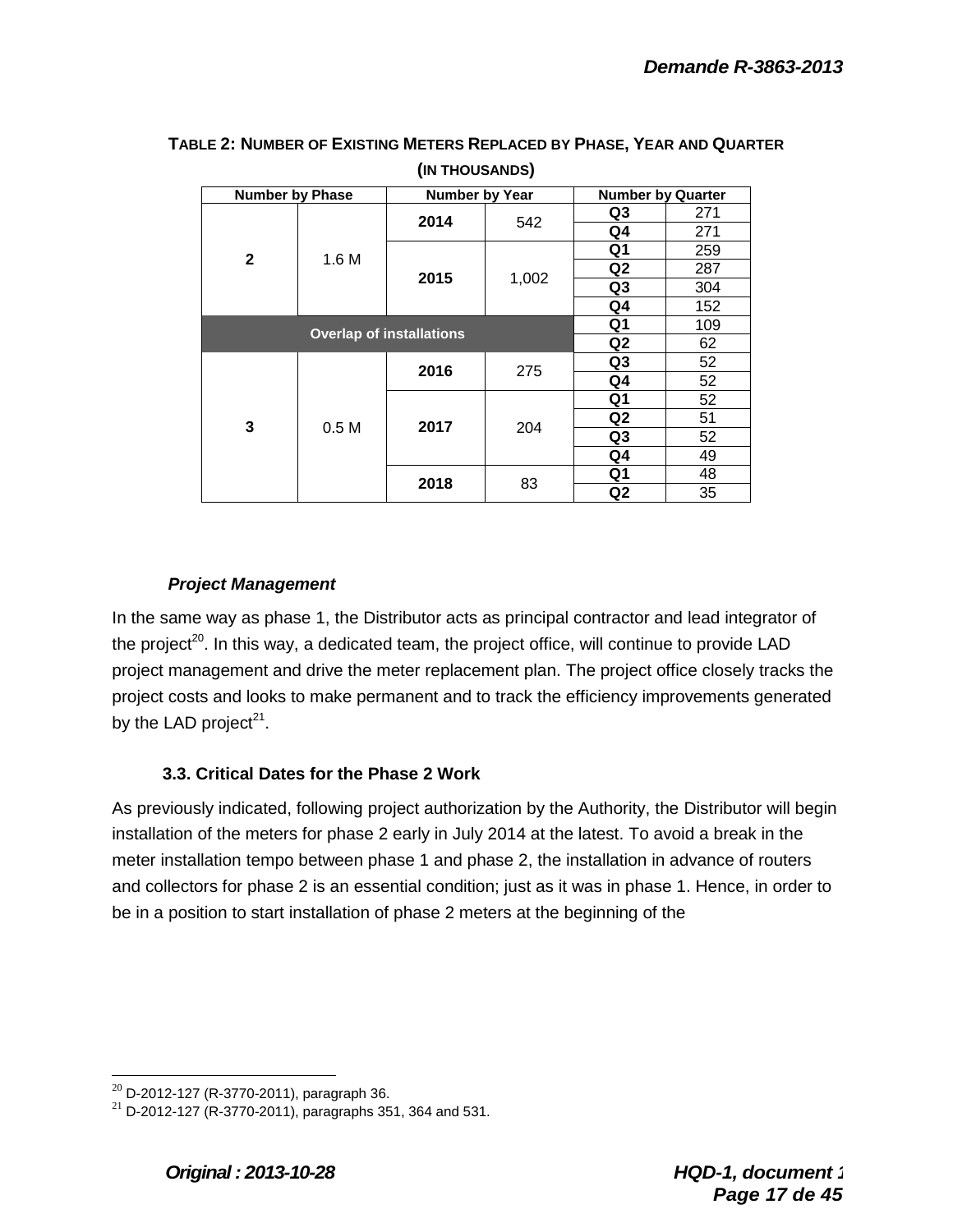| <b>Number by Phase</b> |                                 | Number by Year |                | <b>Number by Quarter</b> |     |  |
|------------------------|---------------------------------|----------------|----------------|--------------------------|-----|--|
|                        |                                 | 2014           | 542            | Q3                       | 271 |  |
|                        |                                 |                |                | Q4                       | 271 |  |
| 2                      | 1.6 M                           |                | 1,002          | Q1                       | 259 |  |
|                        |                                 |                |                | Q <sub>2</sub>           | 287 |  |
|                        |                                 | 2015           |                | Q <sub>3</sub>           | 304 |  |
|                        |                                 |                |                | Q4                       | 152 |  |
|                        | <b>Overlap of installations</b> | Q <sub>1</sub> | 109            |                          |     |  |
|                        |                                 |                | Q <sub>2</sub> | 62                       |     |  |
|                        |                                 | 2016           | 275            | Q <sub>3</sub>           | 52  |  |
|                        |                                 |                |                | Q4                       | 52  |  |
|                        |                                 | 2017           | 204            | Q <sub>1</sub>           | 52  |  |
| 3                      | 0.5 <sub>M</sub>                |                |                | Q <sub>2</sub>           | 51  |  |
|                        |                                 |                |                | Q <sub>3</sub>           | 52  |  |
|                        |                                 |                |                | Q4                       | 49  |  |
|                        |                                 | 2018           | 83             | Q <sub>1</sub>           | 48  |  |
|                        |                                 |                |                | Q <sub>2</sub>           | 35  |  |

**TABLE 2: NUMBER OF EXISTING METERS REPLACED BY PHASE, YEAR AND QUARTER (IN THOUSANDS)**

## *Project Management*

In the same way as phase 1, the Distributor acts as principal contractor and lead integrator of the project<sup>20</sup>. In this way, a dedicated team, the project office, will continue to provide LAD project management and drive the meter replacement plan. The project office closely tracks the project costs and looks to make permanent and to track the efficiency improvements generated by the LAD project<sup>21</sup>.

## **3.3. Critical Dates for the Phase 2 Work**

As previously indicated, following project authorization by the Authority, the Distributor will begin installation of the meters for phase 2 early in July 2014 at the latest. To avoid a break in the meter installation tempo between phase 1 and phase 2, the installation in advance of routers and collectors for phase 2 is an essential condition; just as it was in phase 1. Hence, in order to be in a position to start installation of phase 2 meters at the beginning of the

 $\overline{a}$  $^{20}$  D-2012-127 (R-3770-2011), paragraph 36.

 $^{21}$  D-2012-127 (R-3770-2011), paragraphs 351, 364 and 531.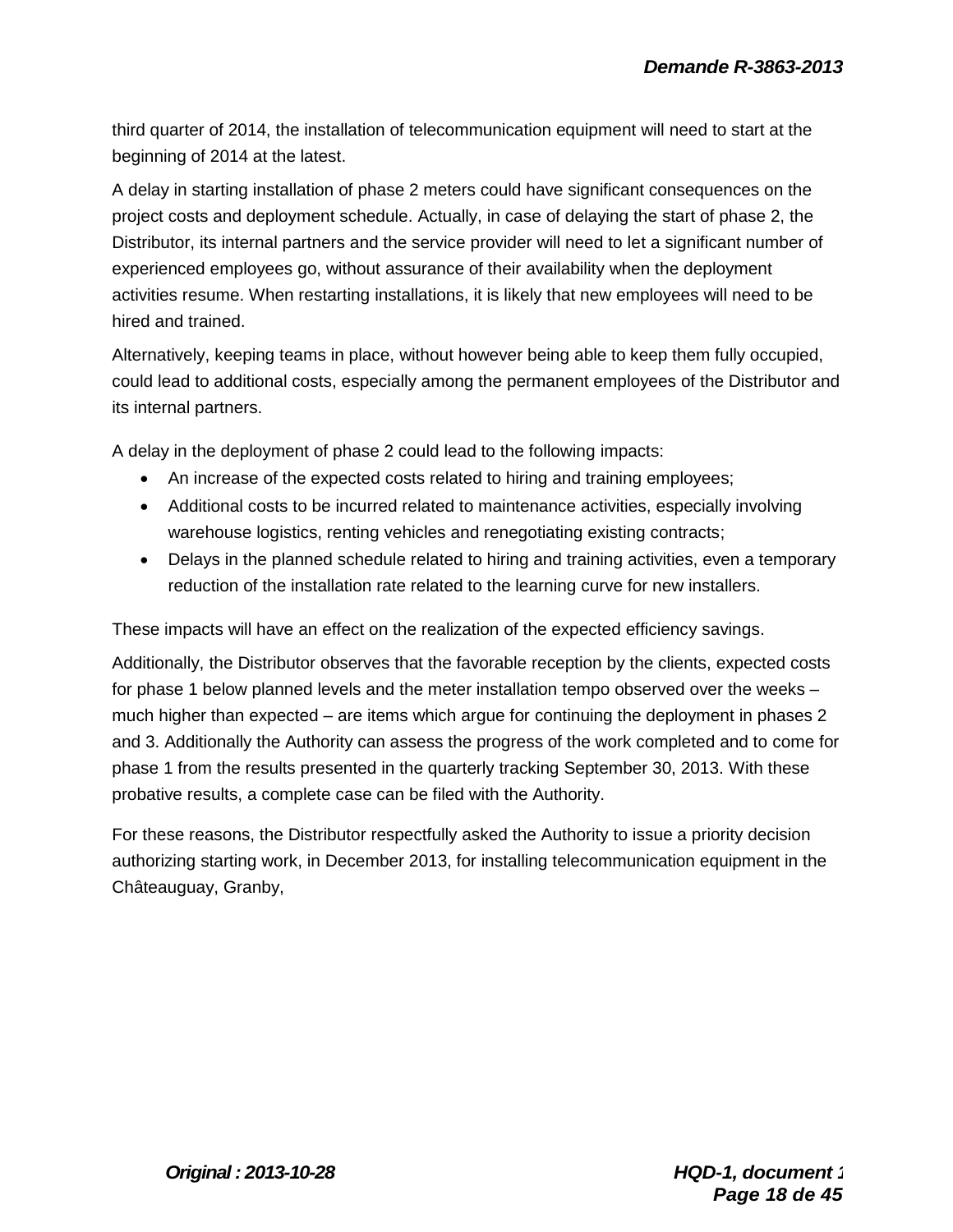third quarter of 2014, the installation of telecommunication equipment will need to start at the beginning of 2014 at the latest.

A delay in starting installation of phase 2 meters could have significant consequences on the project costs and deployment schedule. Actually, in case of delaying the start of phase 2, the Distributor, its internal partners and the service provider will need to let a significant number of experienced employees go, without assurance of their availability when the deployment activities resume. When restarting installations, it is likely that new employees will need to be hired and trained.

Alternatively, keeping teams in place, without however being able to keep them fully occupied, could lead to additional costs, especially among the permanent employees of the Distributor and its internal partners.

A delay in the deployment of phase 2 could lead to the following impacts:

- An increase of the expected costs related to hiring and training employees;
- Additional costs to be incurred related to maintenance activities, especially involving warehouse logistics, renting vehicles and renegotiating existing contracts;
- Delays in the planned schedule related to hiring and training activities, even a temporary reduction of the installation rate related to the learning curve for new installers.

These impacts will have an effect on the realization of the expected efficiency savings.

Additionally, the Distributor observes that the favorable reception by the clients, expected costs for phase 1 below planned levels and the meter installation tempo observed over the weeks – much higher than expected – are items which argue for continuing the deployment in phases 2 and 3. Additionally the Authority can assess the progress of the work completed and to come for phase 1 from the results presented in the quarterly tracking September 30, 2013. With these probative results, a complete case can be filed with the Authority.

For these reasons, the Distributor respectfully asked the Authority to issue a priority decision authorizing starting work, in December 2013, for installing telecommunication equipment in the Châteauguay, Granby,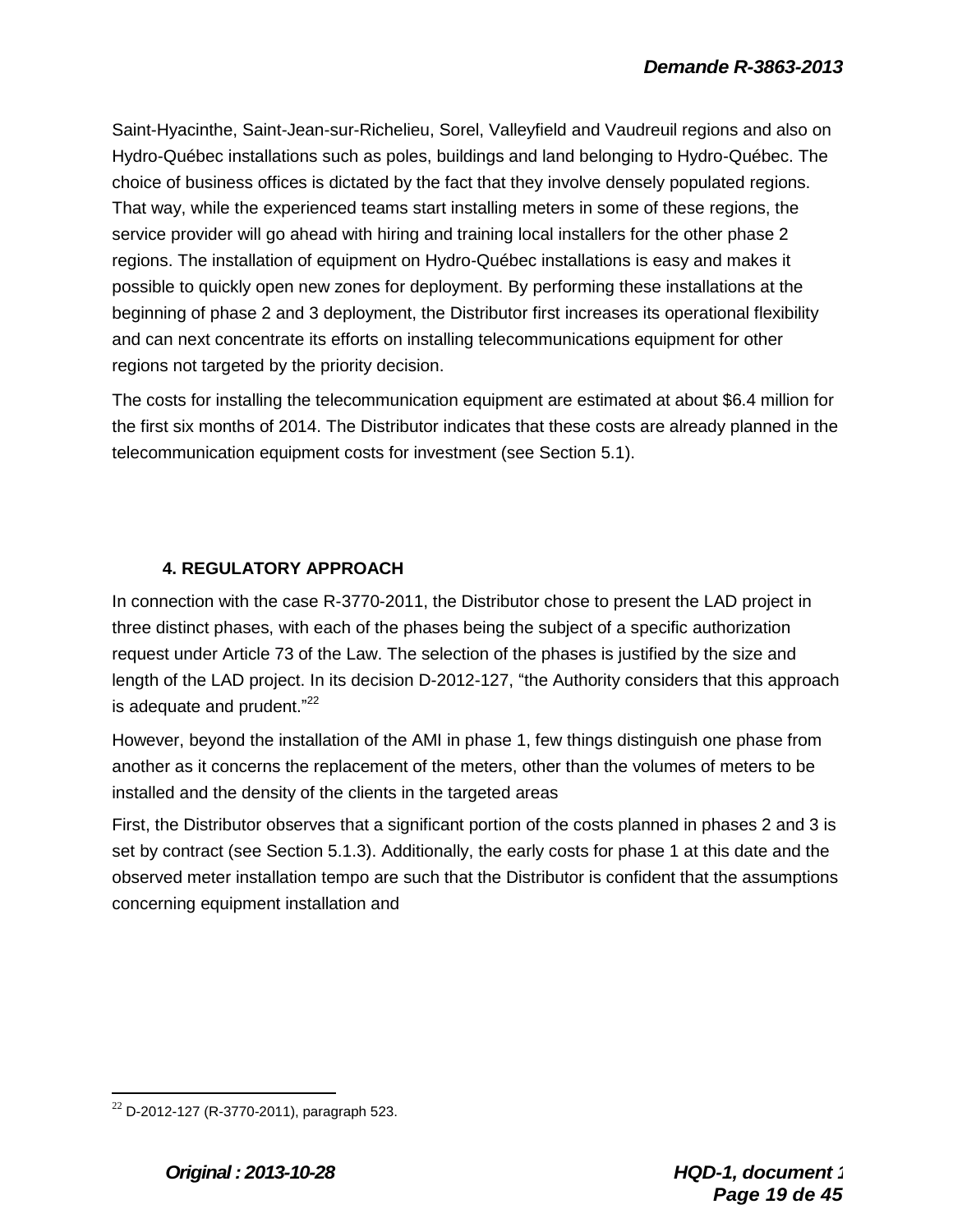Saint-Hyacinthe, Saint-Jean-sur-Richelieu, Sorel, Valleyfield and Vaudreuil regions and also on Hydro-Québec installations such as poles, buildings and land belonging to Hydro-Québec. The choice of business offices is dictated by the fact that they involve densely populated regions. That way, while the experienced teams start installing meters in some of these regions, the service provider will go ahead with hiring and training local installers for the other phase 2 regions. The installation of equipment on Hydro-Québec installations is easy and makes it possible to quickly open new zones for deployment. By performing these installations at the beginning of phase 2 and 3 deployment, the Distributor first increases its operational flexibility and can next concentrate its efforts on installing telecommunications equipment for other regions not targeted by the priority decision.

The costs for installing the telecommunication equipment are estimated at about \$6.4 million for the first six months of 2014. The Distributor indicates that these costs are already planned in the telecommunication equipment costs for investment (see Section 5.1).

## **4. REGULATORY APPROACH**

In connection with the case R-3770-2011, the Distributor chose to present the LAD project in three distinct phases, with each of the phases being the subject of a specific authorization request under Article 73 of the Law. The selection of the phases is justified by the size and length of the LAD project. In its decision D-2012-127, "the Authority considers that this approach is adequate and prudent."<sup>22</sup>

However, beyond the installation of the AMI in phase 1, few things distinguish one phase from another as it concerns the replacement of the meters, other than the volumes of meters to be installed and the density of the clients in the targeted areas

First, the Distributor observes that a significant portion of the costs planned in phases 2 and 3 is set by contract (see Section 5.1.3). Additionally, the early costs for phase 1 at this date and the observed meter installation tempo are such that the Distributor is confident that the assumptions concerning equipment installation and

 $22$  D-2012-127 (R-3770-2011), paragraph 523.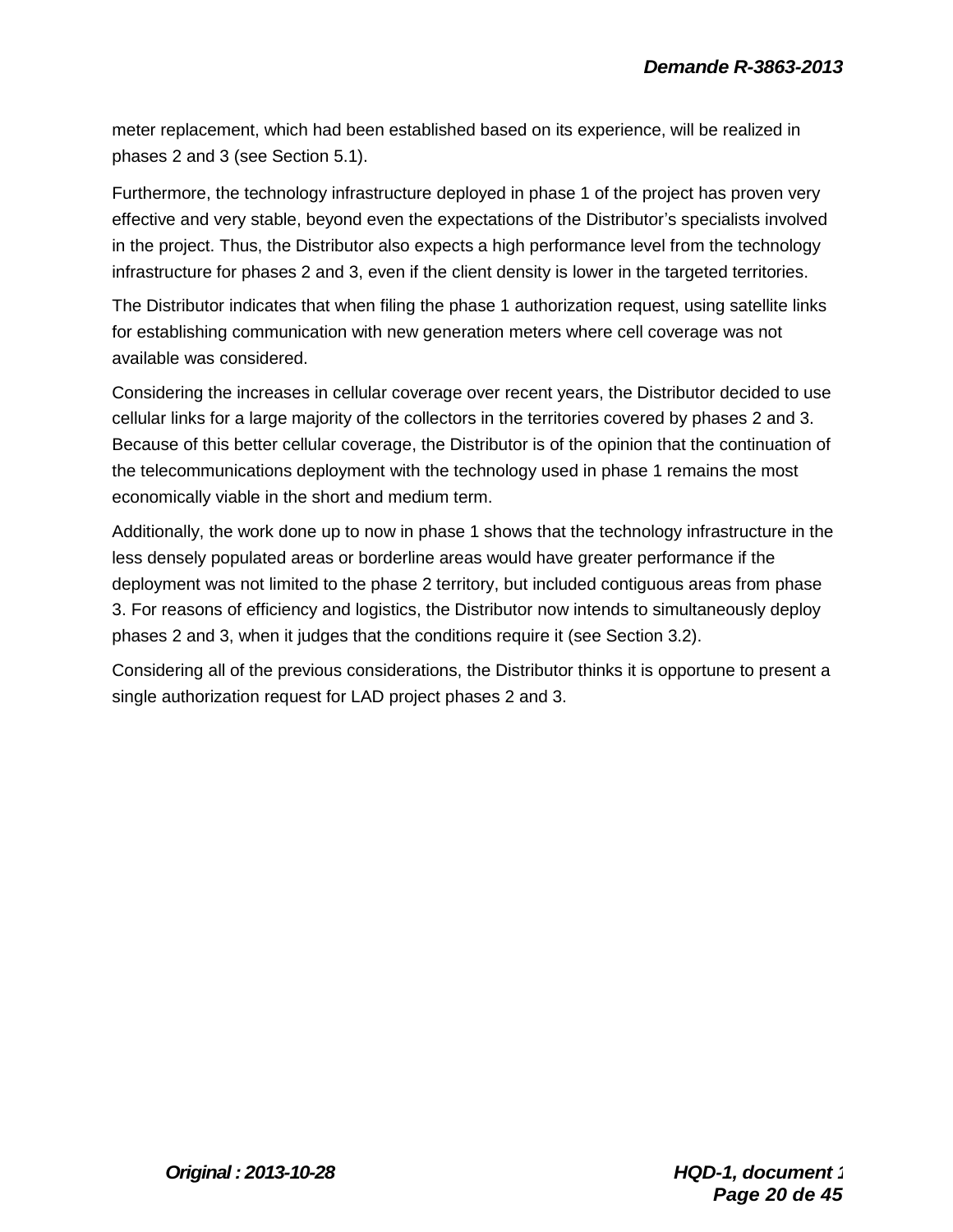meter replacement, which had been established based on its experience, will be realized in phases 2 and 3 (see Section 5.1).

Furthermore, the technology infrastructure deployed in phase 1 of the project has proven very effective and very stable, beyond even the expectations of the Distributor's specialists involved in the project. Thus, the Distributor also expects a high performance level from the technology infrastructure for phases 2 and 3, even if the client density is lower in the targeted territories.

The Distributor indicates that when filing the phase 1 authorization request, using satellite links for establishing communication with new generation meters where cell coverage was not available was considered.

Considering the increases in cellular coverage over recent years, the Distributor decided to use cellular links for a large majority of the collectors in the territories covered by phases 2 and 3. Because of this better cellular coverage, the Distributor is of the opinion that the continuation of the telecommunications deployment with the technology used in phase 1 remains the most economically viable in the short and medium term.

Additionally, the work done up to now in phase 1 shows that the technology infrastructure in the less densely populated areas or borderline areas would have greater performance if the deployment was not limited to the phase 2 territory, but included contiguous areas from phase 3. For reasons of efficiency and logistics, the Distributor now intends to simultaneously deploy phases 2 and 3, when it judges that the conditions require it (see Section 3.2).

Considering all of the previous considerations, the Distributor thinks it is opportune to present a single authorization request for LAD project phases 2 and 3.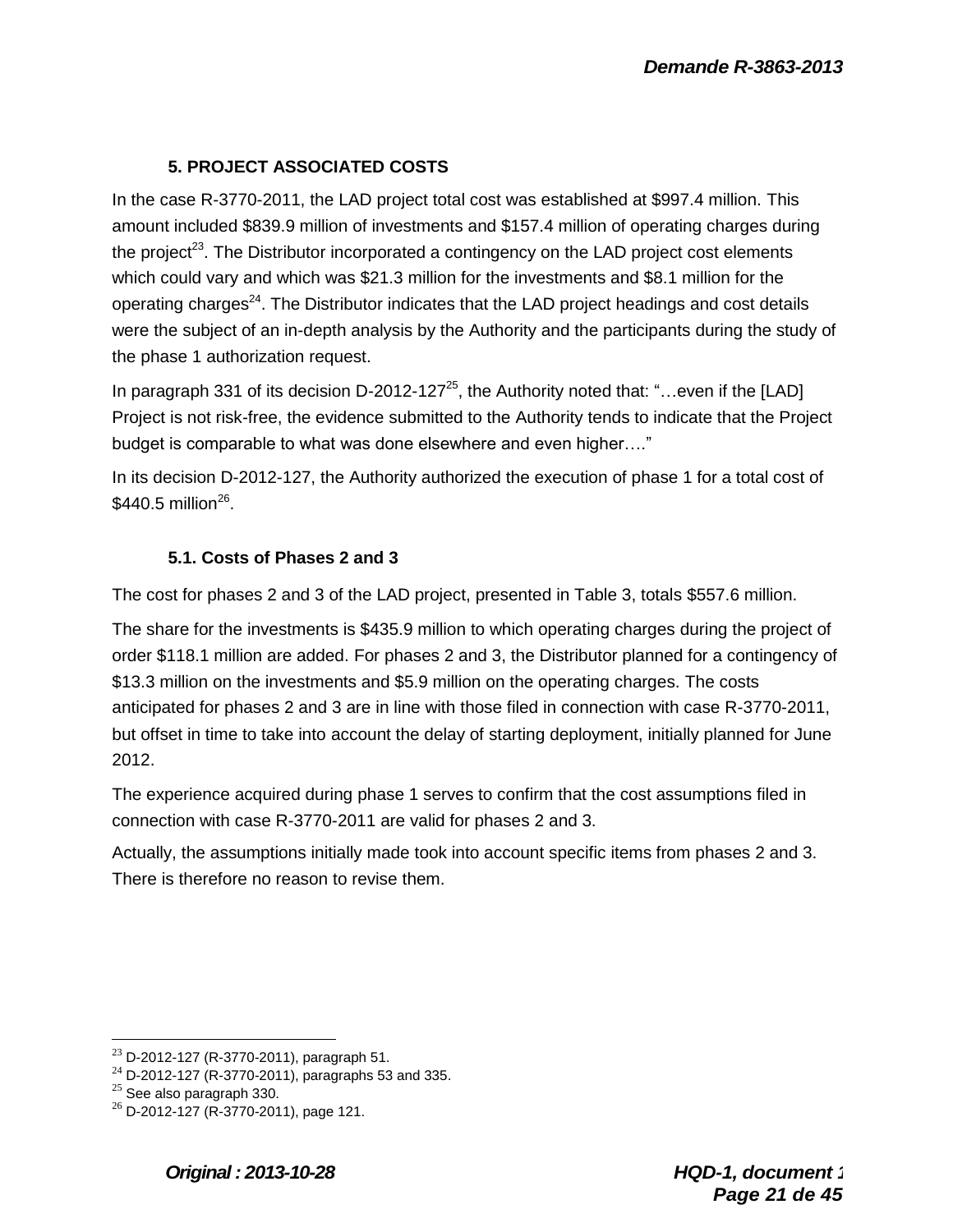## **5. PROJECT ASSOCIATED COSTS**

In the case R-3770-2011, the LAD project total cost was established at \$997.4 million. This amount included \$839.9 million of investments and \$157.4 million of operating charges during the project<sup>23</sup>. The Distributor incorporated a contingency on the LAD project cost elements which could vary and which was \$21.3 million for the investments and \$8.1 million for the operating charges<sup>24</sup>. The Distributor indicates that the LAD project headings and cost details were the subject of an in-depth analysis by the Authority and the participants during the study of the phase 1 authorization request.

In paragraph 331 of its decision D-2012-127<sup>25</sup>, the Authority noted that: "...even if the [LAD] Project is not risk-free, the evidence submitted to the Authority tends to indicate that the Project budget is comparable to what was done elsewhere and even higher…."

In its decision D-2012-127, the Authority authorized the execution of phase 1 for a total cost of  $$440.5$  million<sup>26</sup>.

## **5.1. Costs of Phases 2 and 3**

The cost for phases 2 and 3 of the LAD project, presented in Table 3, totals \$557.6 million.

The share for the investments is \$435.9 million to which operating charges during the project of order \$118.1 million are added. For phases 2 and 3, the Distributor planned for a contingency of \$13.3 million on the investments and \$5.9 million on the operating charges. The costs anticipated for phases 2 and 3 are in line with those filed in connection with case R-3770-2011, but offset in time to take into account the delay of starting deployment, initially planned for June 2012.

The experience acquired during phase 1 serves to confirm that the cost assumptions filed in connection with case R-3770-2011 are valid for phases 2 and 3.

Actually, the assumptions initially made took into account specific items from phases 2 and 3. There is therefore no reason to revise them.

 $23$  D-2012-127 (R-3770-2011), paragraph 51.

 $^{24}$  D-2012-127 (R-3770-2011), paragraphs 53 and 335.

 $25$  See also paragraph 330.

 $^{26}$  D-2012-127 (R-3770-2011), page 121.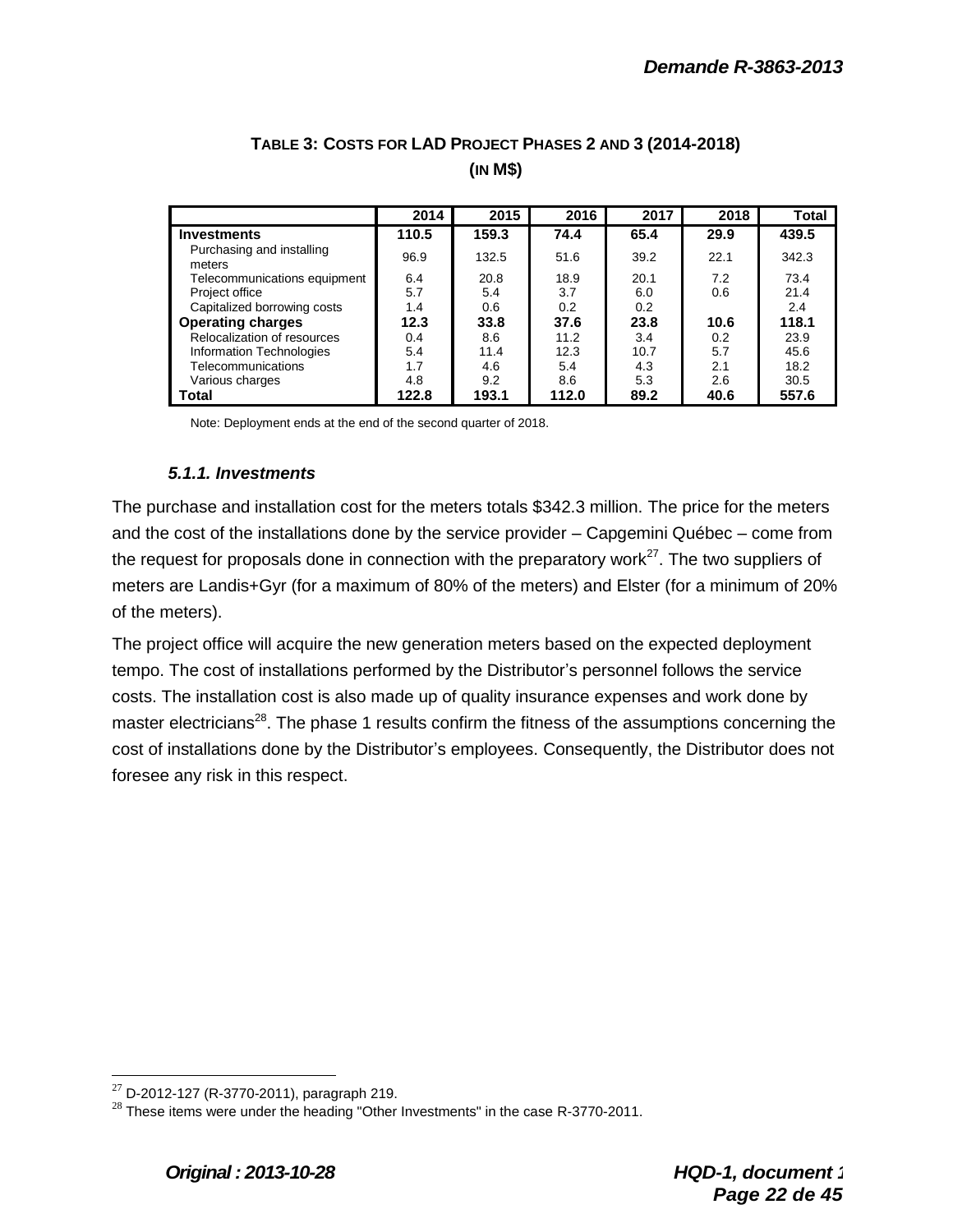|                                     | 2014  | 2015  | 2016  | 2017 | 2018 | Total |
|-------------------------------------|-------|-------|-------|------|------|-------|
| <b>Investments</b>                  | 110.5 | 159.3 | 74.4  | 65.4 | 29.9 | 439.5 |
| Purchasing and installing<br>meters | 96.9  | 132.5 | 51.6  | 39.2 | 22.1 | 342.3 |
| Telecommunications equipment        | 6.4   | 20.8  | 18.9  | 20.1 | 7.2  | 73.4  |
| Project office                      | 5.7   | 5.4   | 3.7   | 6.0  | 0.6  | 21.4  |
| Capitalized borrowing costs         | 1.4   | 0.6   | 0.2   | 0.2  |      | 2.4   |
| <b>Operating charges</b>            | 12.3  | 33.8  | 37.6  | 23.8 | 10.6 | 118.1 |
| Relocalization of resources         | 0.4   | 8.6   | 11.2  | 3.4  | 0.2  | 23.9  |
| Information Technologies            | 5.4   | 11.4  | 12.3  | 10.7 | 5.7  | 45.6  |
| Telecommunications                  | 1.7   | 4.6   | 5.4   | 4.3  | 2.1  | 18.2  |
| Various charges                     | 4.8   | 9.2   | 8.6   | 5.3  | 2.6  | 30.5  |
| Total                               | 122.8 | 193.1 | 112.0 | 89.2 | 40.6 | 557.6 |

## **TABLE 3: COSTS FOR LAD PROJECT PHASES 2 AND 3 (2014-2018) (IN M\$)**

Note: Deployment ends at the end of the second quarter of 2018.

#### *5.1.1. Investments*

The purchase and installation cost for the meters totals \$342.3 million. The price for the meters and the cost of the installations done by the service provider – Capgemini Québec – come from the request for proposals done in connection with the preparatory work $^{27}$ . The two suppliers of meters are Landis+Gyr (for a maximum of 80% of the meters) and Elster (for a minimum of 20% of the meters).

The project office will acquire the new generation meters based on the expected deployment tempo. The cost of installations performed by the Distributor's personnel follows the service costs. The installation cost is also made up of quality insurance expenses and work done by master electricians<sup>28</sup>. The phase 1 results confirm the fitness of the assumptions concerning the cost of installations done by the Distributor's employees. Consequently, the Distributor does not foresee any risk in this respect.

 $27$  D-2012-127 (R-3770-2011), paragraph 219.

 $^{28}$  These items were under the heading "Other Investments" in the case R-3770-2011.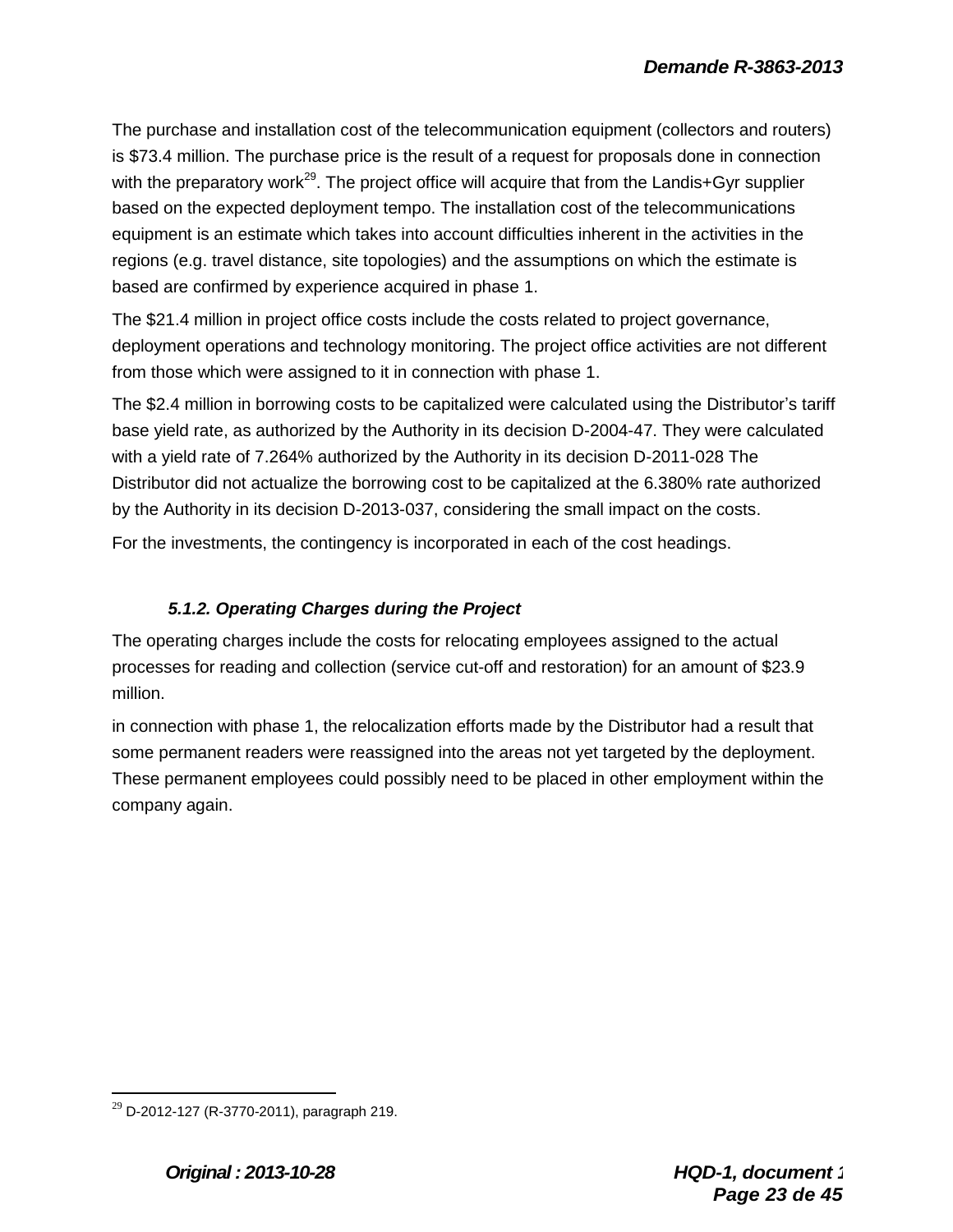The purchase and installation cost of the telecommunication equipment (collectors and routers) is \$73.4 million. The purchase price is the result of a request for proposals done in connection with the preparatory work<sup>29</sup>. The project office will acquire that from the Landis+Gyr supplier based on the expected deployment tempo. The installation cost of the telecommunications equipment is an estimate which takes into account difficulties inherent in the activities in the regions (e.g. travel distance, site topologies) and the assumptions on which the estimate is based are confirmed by experience acquired in phase 1.

The \$21.4 million in project office costs include the costs related to project governance, deployment operations and technology monitoring. The project office activities are not different from those which were assigned to it in connection with phase 1.

The \$2.4 million in borrowing costs to be capitalized were calculated using the Distributor's tariff base yield rate, as authorized by the Authority in its decision D-2004-47. They were calculated with a yield rate of 7.264% authorized by the Authority in its decision D-2011-028 The Distributor did not actualize the borrowing cost to be capitalized at the 6.380% rate authorized by the Authority in its decision D-2013-037, considering the small impact on the costs.

For the investments, the contingency is incorporated in each of the cost headings.

## *5.1.2. Operating Charges during the Project*

The operating charges include the costs for relocating employees assigned to the actual processes for reading and collection (service cut-off and restoration) for an amount of \$23.9 million.

in connection with phase 1, the relocalization efforts made by the Distributor had a result that some permanent readers were reassigned into the areas not yet targeted by the deployment. These permanent employees could possibly need to be placed in other employment within the company again.

 $29$  D-2012-127 (R-3770-2011), paragraph 219.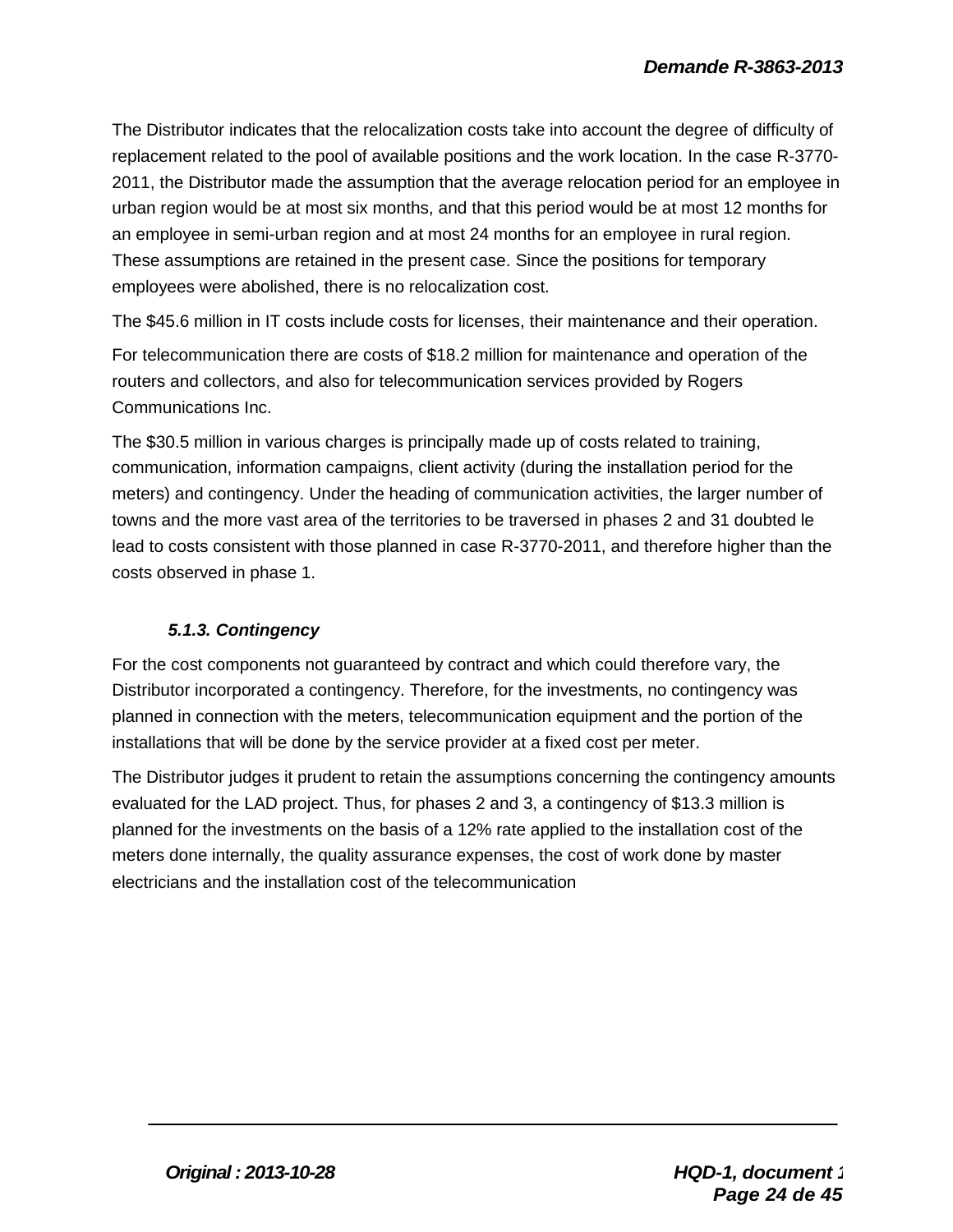The Distributor indicates that the relocalization costs take into account the degree of difficulty of replacement related to the pool of available positions and the work location. In the case R-3770- 2011, the Distributor made the assumption that the average relocation period for an employee in urban region would be at most six months, and that this period would be at most 12 months for an employee in semi-urban region and at most 24 months for an employee in rural region. These assumptions are retained in the present case. Since the positions for temporary employees were abolished, there is no relocalization cost.

The \$45.6 million in IT costs include costs for licenses, their maintenance and their operation.

For telecommunication there are costs of \$18.2 million for maintenance and operation of the routers and collectors, and also for telecommunication services provided by Rogers Communications Inc.

The \$30.5 million in various charges is principally made up of costs related to training, communication, information campaigns, client activity (during the installation period for the meters) and contingency. Under the heading of communication activities, the larger number of towns and the more vast area of the territories to be traversed in phases 2 and 31 doubted le lead to costs consistent with those planned in case R-3770-2011, and therefore higher than the costs observed in phase 1.

## *5.1.3. Contingency*

For the cost components not guaranteed by contract and which could therefore vary, the Distributor incorporated a contingency. Therefore, for the investments, no contingency was planned in connection with the meters, telecommunication equipment and the portion of the installations that will be done by the service provider at a fixed cost per meter.

The Distributor judges it prudent to retain the assumptions concerning the contingency amounts evaluated for the LAD project. Thus, for phases 2 and 3, a contingency of \$13.3 million is planned for the investments on the basis of a 12% rate applied to the installation cost of the meters done internally, the quality assurance expenses, the cost of work done by master electricians and the installation cost of the telecommunication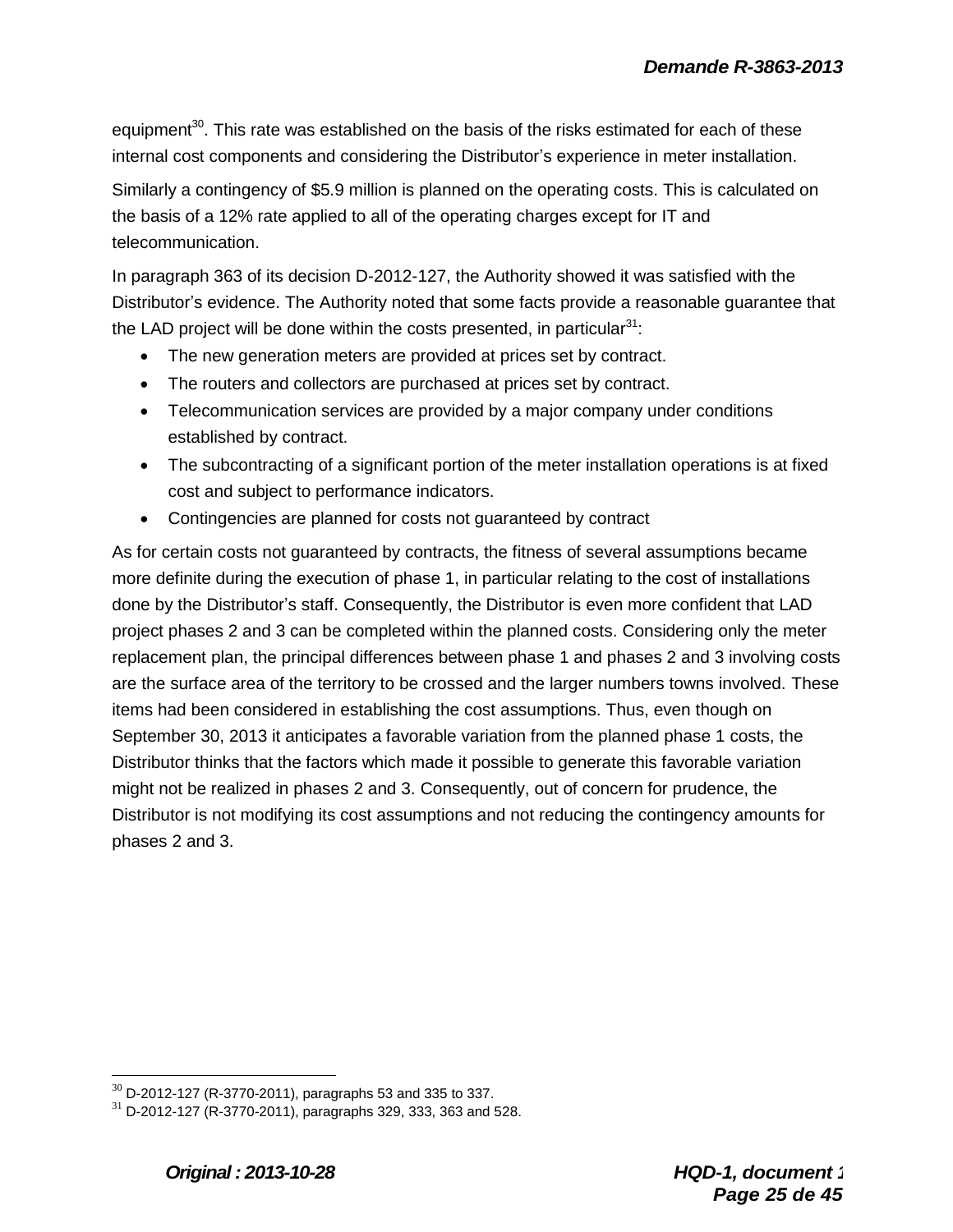equipment<sup>30</sup>. This rate was established on the basis of the risks estimated for each of these internal cost components and considering the Distributor's experience in meter installation.

Similarly a contingency of \$5.9 million is planned on the operating costs. This is calculated on the basis of a 12% rate applied to all of the operating charges except for IT and telecommunication.

In paragraph 363 of its decision D-2012-127, the Authority showed it was satisfied with the Distributor's evidence. The Authority noted that some facts provide a reasonable guarantee that the LAD project will be done within the costs presented, in particular  $31$ :

- The new generation meters are provided at prices set by contract.
- The routers and collectors are purchased at prices set by contract.
- Telecommunication services are provided by a major company under conditions established by contract.
- The subcontracting of a significant portion of the meter installation operations is at fixed cost and subject to performance indicators.
- Contingencies are planned for costs not guaranteed by contract

As for certain costs not guaranteed by contracts, the fitness of several assumptions became more definite during the execution of phase 1, in particular relating to the cost of installations done by the Distributor's staff. Consequently, the Distributor is even more confident that LAD project phases 2 and 3 can be completed within the planned costs. Considering only the meter replacement plan, the principal differences between phase 1 and phases 2 and 3 involving costs are the surface area of the territory to be crossed and the larger numbers towns involved. These items had been considered in establishing the cost assumptions. Thus, even though on September 30, 2013 it anticipates a favorable variation from the planned phase 1 costs, the Distributor thinks that the factors which made it possible to generate this favorable variation might not be realized in phases 2 and 3. Consequently, out of concern for prudence, the Distributor is not modifying its cost assumptions and not reducing the contingency amounts for phases 2 and 3.

 $30$  D-2012-127 (R-3770-2011), paragraphs 53 and 335 to 337.

 $31$  D-2012-127 (R-3770-2011), paragraphs 329, 333, 363 and 528.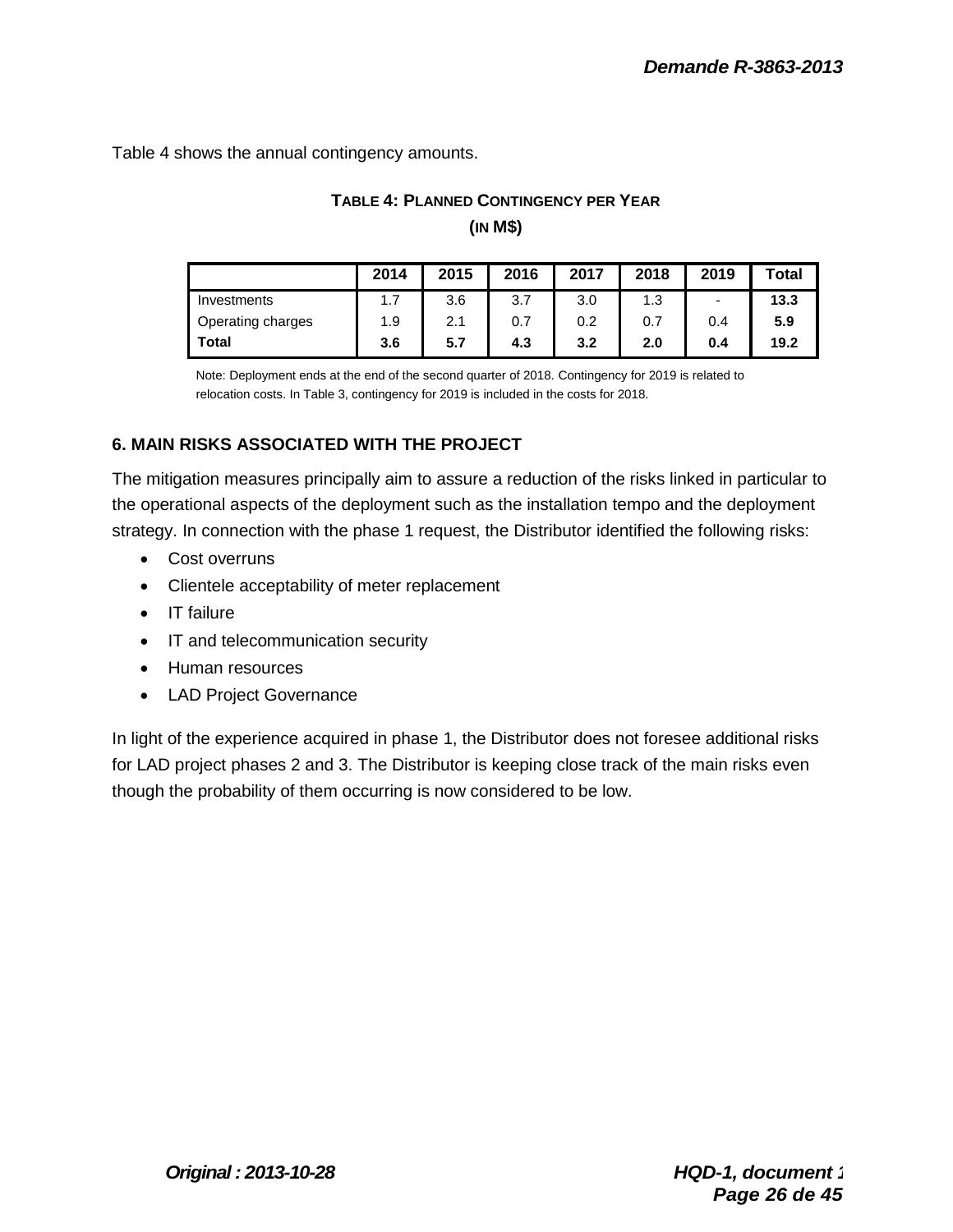Table 4 shows the annual contingency amounts.

|                   | 2014    | 2015 | 2016 | 2017 | 2018 | 2019                     | Total |
|-------------------|---------|------|------|------|------|--------------------------|-------|
| Investments       | 17<br>. | 3.6  | 3.7  | 3.0  | 1.3  | $\overline{\phantom{0}}$ | 13.3  |
| Operating charges | 1.9     | 2.1  | 0.7  | 0.2  | 0.7  | 0.4                      | 5.9   |
| <b>Total</b>      | 3.6     | 5.7  | 4.3  | 3.2  | 2.0  | 0.4                      | 19.2  |

## **TABLE 4: PLANNED CONTINGENCY PER YEAR (IN M\$)**

#### Note: Deployment ends at the end of the second quarter of 2018. Contingency for 2019 is related to relocation costs. In Table 3, contingency for 2019 is included in the costs for 2018.

## **6. MAIN RISKS ASSOCIATED WITH THE PROJECT**

The mitigation measures principally aim to assure a reduction of the risks linked in particular to the operational aspects of the deployment such as the installation tempo and the deployment strategy. In connection with the phase 1 request, the Distributor identified the following risks:

- Cost overruns
- Clientele acceptability of meter replacement
- IT failure
- IT and telecommunication security
- Human resources
- LAD Project Governance

In light of the experience acquired in phase 1, the Distributor does not foresee additional risks for LAD project phases 2 and 3. The Distributor is keeping close track of the main risks even though the probability of them occurring is now considered to be low.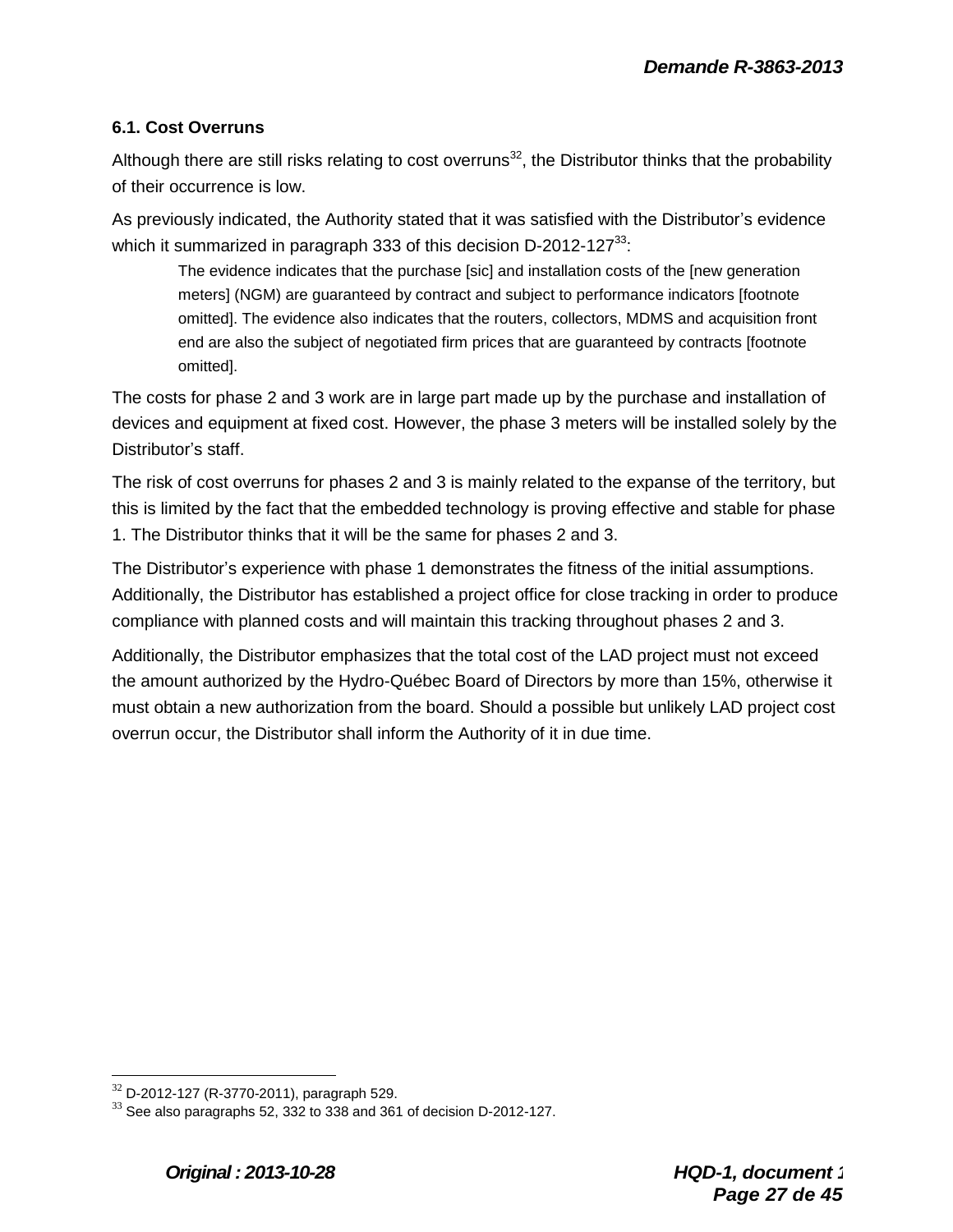## **6.1. Cost Overruns**

Although there are still risks relating to cost overruns<sup>32</sup>, the Distributor thinks that the probability of their occurrence is low.

As previously indicated, the Authority stated that it was satisfied with the Distributor's evidence which it summarized in paragraph 333 of this decision D-2012-127 $33$ :

The evidence indicates that the purchase [sic] and installation costs of the [new generation meters] (NGM) are guaranteed by contract and subject to performance indicators [footnote omitted]. The evidence also indicates that the routers, collectors, MDMS and acquisition front end are also the subject of negotiated firm prices that are guaranteed by contracts [footnote omitted].

The costs for phase 2 and 3 work are in large part made up by the purchase and installation of devices and equipment at fixed cost. However, the phase 3 meters will be installed solely by the Distributor's staff.

The risk of cost overruns for phases 2 and 3 is mainly related to the expanse of the territory, but this is limited by the fact that the embedded technology is proving effective and stable for phase 1. The Distributor thinks that it will be the same for phases 2 and 3.

The Distributor's experience with phase 1 demonstrates the fitness of the initial assumptions. Additionally, the Distributor has established a project office for close tracking in order to produce compliance with planned costs and will maintain this tracking throughout phases 2 and 3.

Additionally, the Distributor emphasizes that the total cost of the LAD project must not exceed the amount authorized by the Hydro-Québec Board of Directors by more than 15%, otherwise it must obtain a new authorization from the board. Should a possible but unlikely LAD project cost overrun occur, the Distributor shall inform the Authority of it in due time.

 $32$  D-2012-127 (R-3770-2011), paragraph 529.

 $33$  See also paragraphs 52, 332 to 338 and 361 of decision D-2012-127.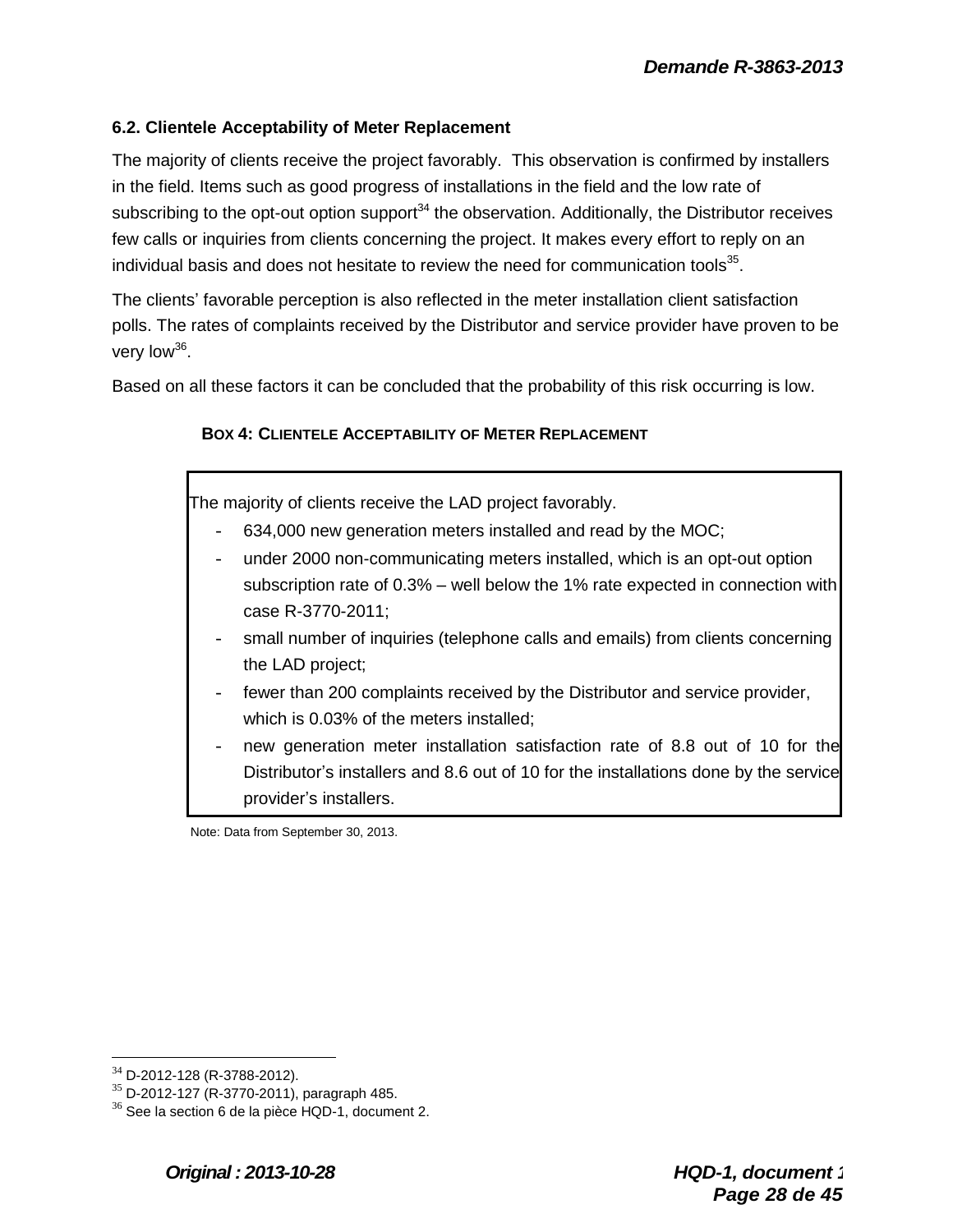## **6.2. Clientele Acceptability of Meter Replacement**

The majority of clients receive the project favorably. This observation is confirmed by installers in the field. Items such as good progress of installations in the field and the low rate of subscribing to the opt-out option support<sup>34</sup> the observation. Additionally, the Distributor receives few calls or inquiries from clients concerning the project. It makes every effort to reply on an individual basis and does not hesitate to review the need for communication tools $^{35}$ .

The clients' favorable perception is also reflected in the meter installation client satisfaction polls. The rates of complaints received by the Distributor and service provider have proven to be very low<sup>36</sup>.

Based on all these factors it can be concluded that the probability of this risk occurring is low.

#### **BOX 4: CLIENTELE ACCEPTABILITY OF METER REPLACEMENT**

The majority of clients receive the LAD project favorably.

- 634,000 new generation meters installed and read by the MOC;
- under 2000 non-communicating meters installed, which is an opt-out option subscription rate of 0.3% – well below the 1% rate expected in connection with case R-3770-2011;
- small number of inquiries (telephone calls and emails) from clients concerning the LAD project;
- fewer than 200 complaints received by the Distributor and service provider, which is 0.03% of the meters installed;
- new generation meter installation satisfaction rate of 8.8 out of 10 for the Distributor's installers and 8.6 out of 10 for the installations done by the service provider's installers.

Note: Data from September 30, 2013.

 $34$  D-2012-128 (R-3788-2012).

 $35$  D-2012-127 (R-3770-2011), paragraph 485.

 $36$  See la section 6 de la pièce HQD-1, document 2.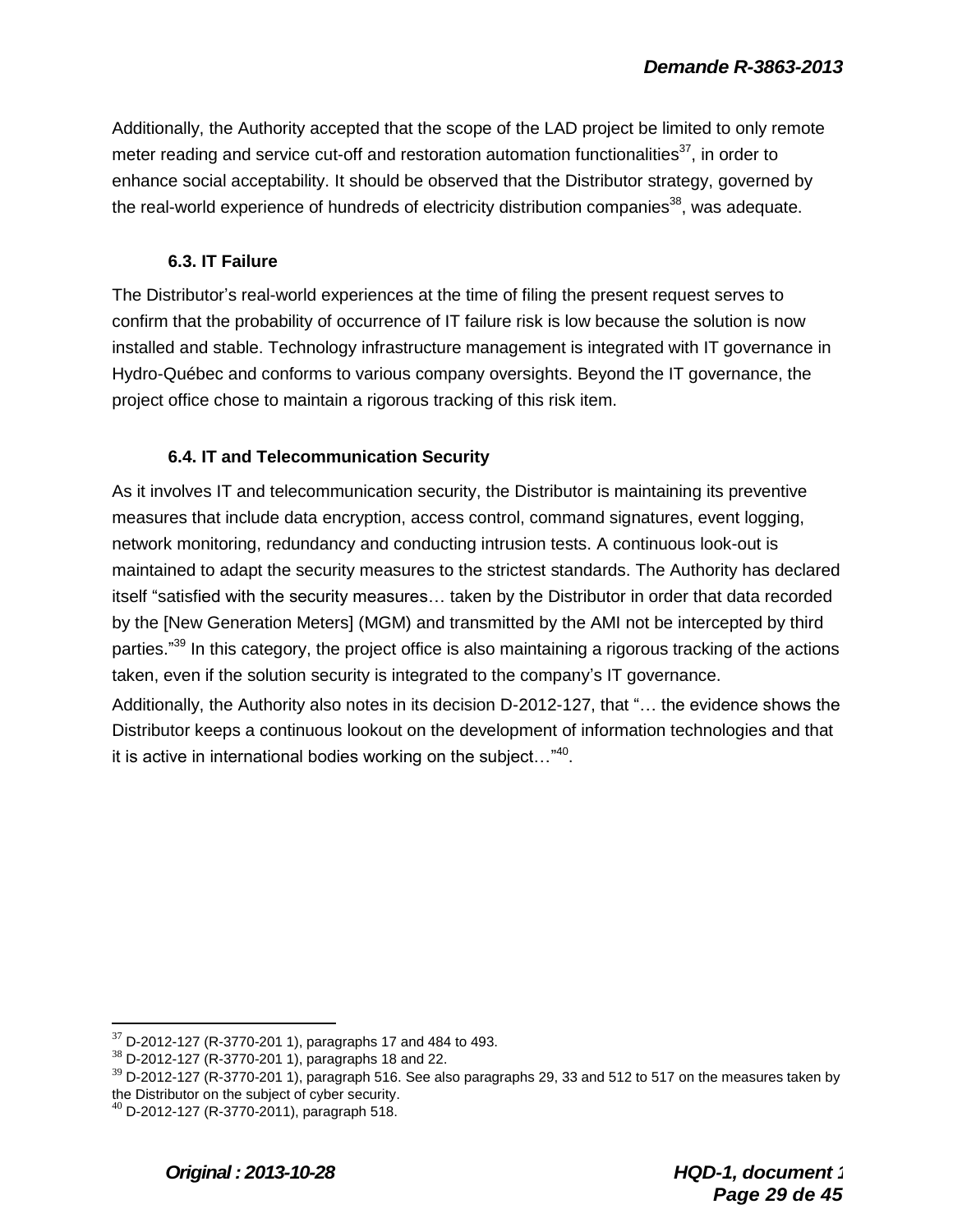Additionally, the Authority accepted that the scope of the LAD project be limited to only remote meter reading and service cut-off and restoration automation functionalities $^{37}$ , in order to enhance social acceptability. It should be observed that the Distributor strategy, governed by the real-world experience of hundreds of electricity distribution companies<sup>38</sup>, was adequate.

## **6.3. IT Failure**

The Distributor's real-world experiences at the time of filing the present request serves to confirm that the probability of occurrence of IT failure risk is low because the solution is now installed and stable. Technology infrastructure management is integrated with IT governance in Hydro-Québec and conforms to various company oversights. Beyond the IT governance, the project office chose to maintain a rigorous tracking of this risk item.

## **6.4. IT and Telecommunication Security**

As it involves IT and telecommunication security, the Distributor is maintaining its preventive measures that include data encryption, access control, command signatures, event logging, network monitoring, redundancy and conducting intrusion tests. A continuous look-out is maintained to adapt the security measures to the strictest standards. The Authority has declared itself "satisfied with the security measures… taken by the Distributor in order that data recorded by the [New Generation Meters] (MGM) and transmitted by the AMI not be intercepted by third parties."<sup>39</sup> In this category, the project office is also maintaining a rigorous tracking of the actions taken, even if the solution security is integrated to the company's IT governance. Additionally, the Authority also notes in its decision D-2012-127, that "… the evidence shows the Distributor keeps a continuous lookout on the development of information technologies and that it is active in international bodies working on the subject..."<sup>40</sup>.

 $37$  D-2012-127 (R-3770-201 1), paragraphs 17 and 484 to 493.

 $38$  D-2012-127 (R-3770-201 1), paragraphs 18 and 22.

 $39$  D-2012-127 (R-3770-201 1), paragraph 516. See also paragraphs 29, 33 and 512 to 517 on the measures taken by the Distributor on the subject of cyber security.

 $^{40}$  D-2012-127 (R-3770-2011), paragraph 518.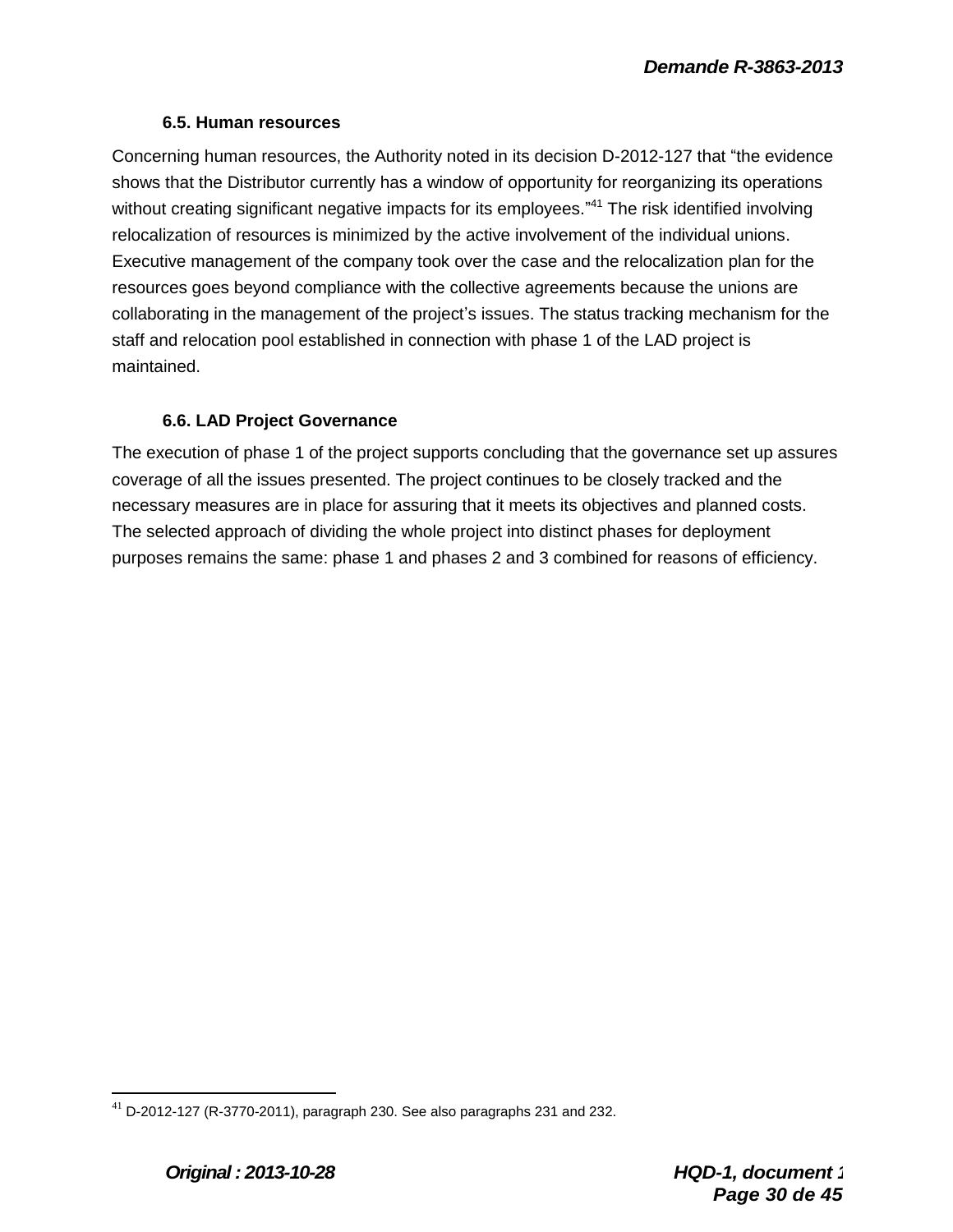## **6.5. Human resources**

Concerning human resources, the Authority noted in its decision D-2012-127 that "the evidence shows that the Distributor currently has a window of opportunity for reorganizing its operations without creating significant negative impacts for its employees."<sup>41</sup> The risk identified involving relocalization of resources is minimized by the active involvement of the individual unions. Executive management of the company took over the case and the relocalization plan for the resources goes beyond compliance with the collective agreements because the unions are collaborating in the management of the project's issues. The status tracking mechanism for the staff and relocation pool established in connection with phase 1 of the LAD project is maintained.

## **6.6. LAD Project Governance**

The execution of phase 1 of the project supports concluding that the governance set up assures coverage of all the issues presented. The project continues to be closely tracked and the necessary measures are in place for assuring that it meets its objectives and planned costs. The selected approach of dividing the whole project into distinct phases for deployment purposes remains the same: phase 1 and phases 2 and 3 combined for reasons of efficiency.

 $41$  D-2012-127 (R-3770-2011), paragraph 230. See also paragraphs 231 and 232.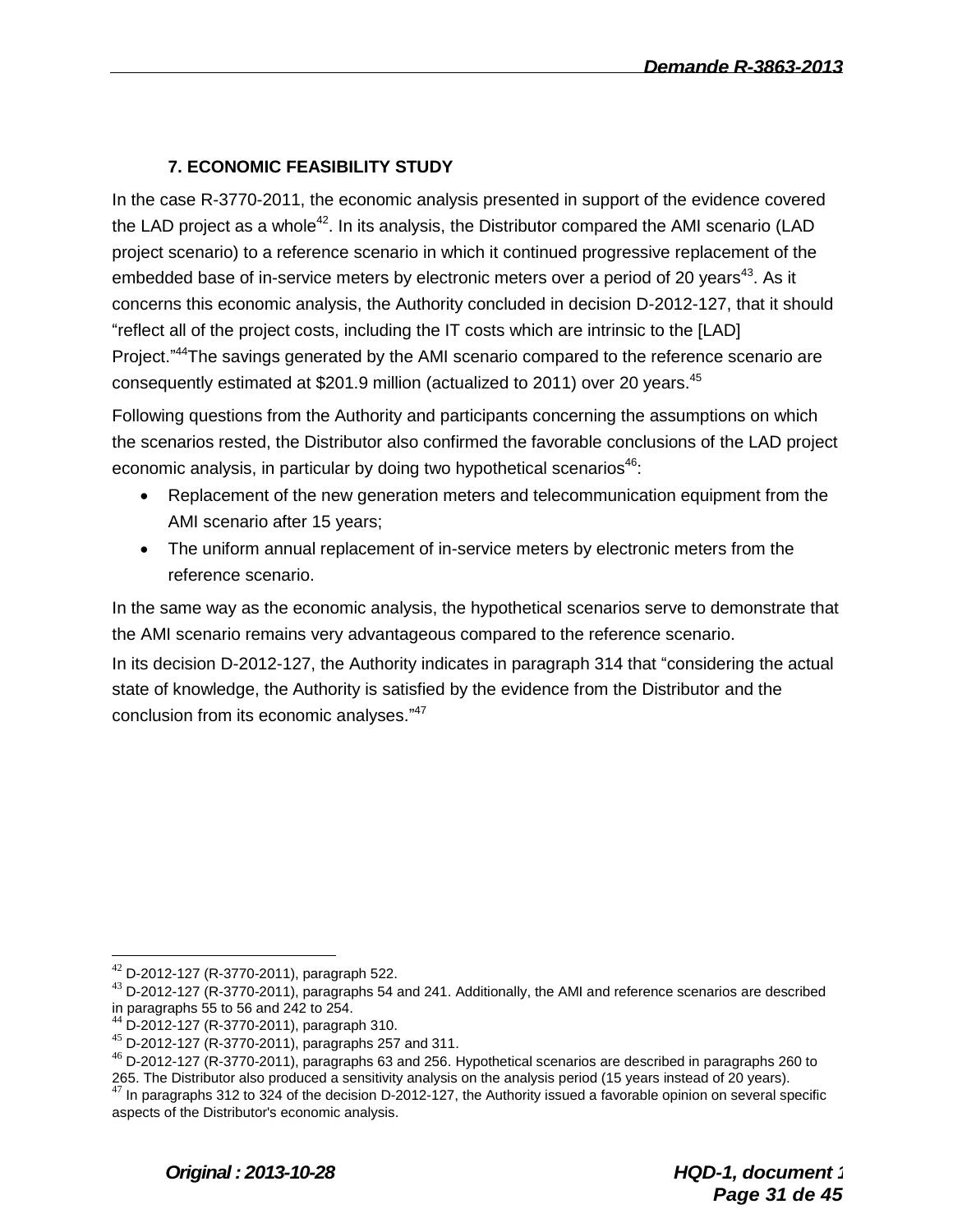## **7. ECONOMIC FEASIBILITY STUDY**

In the case R-3770-2011, the economic analysis presented in support of the evidence covered the LAD project as a whole<sup>42</sup>. In its analysis, the Distributor compared the AMI scenario (LAD project scenario) to a reference scenario in which it continued progressive replacement of the embedded base of in-service meters by electronic meters over a period of 20 years<sup>43</sup>. As it concerns this economic analysis, the Authority concluded in decision D-2012-127, that it should "reflect all of the project costs, including the IT costs which are intrinsic to the [LAD] Project."<sup>44</sup>The savings generated by the AMI scenario compared to the reference scenario are consequently estimated at \$201.9 million (actualized to 2011) over 20 years.<sup>45</sup>

Following questions from the Authority and participants concerning the assumptions on which the scenarios rested, the Distributor also confirmed the favorable conclusions of the LAD project economic analysis, in particular by doing two hypothetical scenarios $46$ :

- Replacement of the new generation meters and telecommunication equipment from the AMI scenario after 15 years;
- The uniform annual replacement of in-service meters by electronic meters from the reference scenario.

In the same way as the economic analysis, the hypothetical scenarios serve to demonstrate that the AMI scenario remains very advantageous compared to the reference scenario.

In its decision D-2012-127, the Authority indicates in paragraph 314 that "considering the actual state of knowledge, the Authority is satisfied by the evidence from the Distributor and the conclusion from its economic analyses."<sup>47</sup>

 $42$  D-2012-127 (R-3770-2011), paragraph 522.

 $^{43}$  D-2012-127 (R-3770-2011), paragraphs 54 and 241. Additionally, the AMI and reference scenarios are described in paragraphs 55 to 56 and 242 to 254.

 $44$  D-2012-127 (R-3770-2011), paragraph 310.

<sup>45</sup> D-2012-127 (R-3770-2011), paragraphs 257 and 311.

<sup>46</sup> D-2012-127 (R-3770-2011), paragraphs 63 and 256. Hypothetical scenarios are described in paragraphs 260 to 265. The Distributor also produced a sensitivity analysis on the analysis period (15 years instead of 20 years).

 $^{47}$  In paragraphs 312 to 324 of the decision D-2012-127, the Authority issued a favorable opinion on several specific aspects of the Distributor's economic analysis.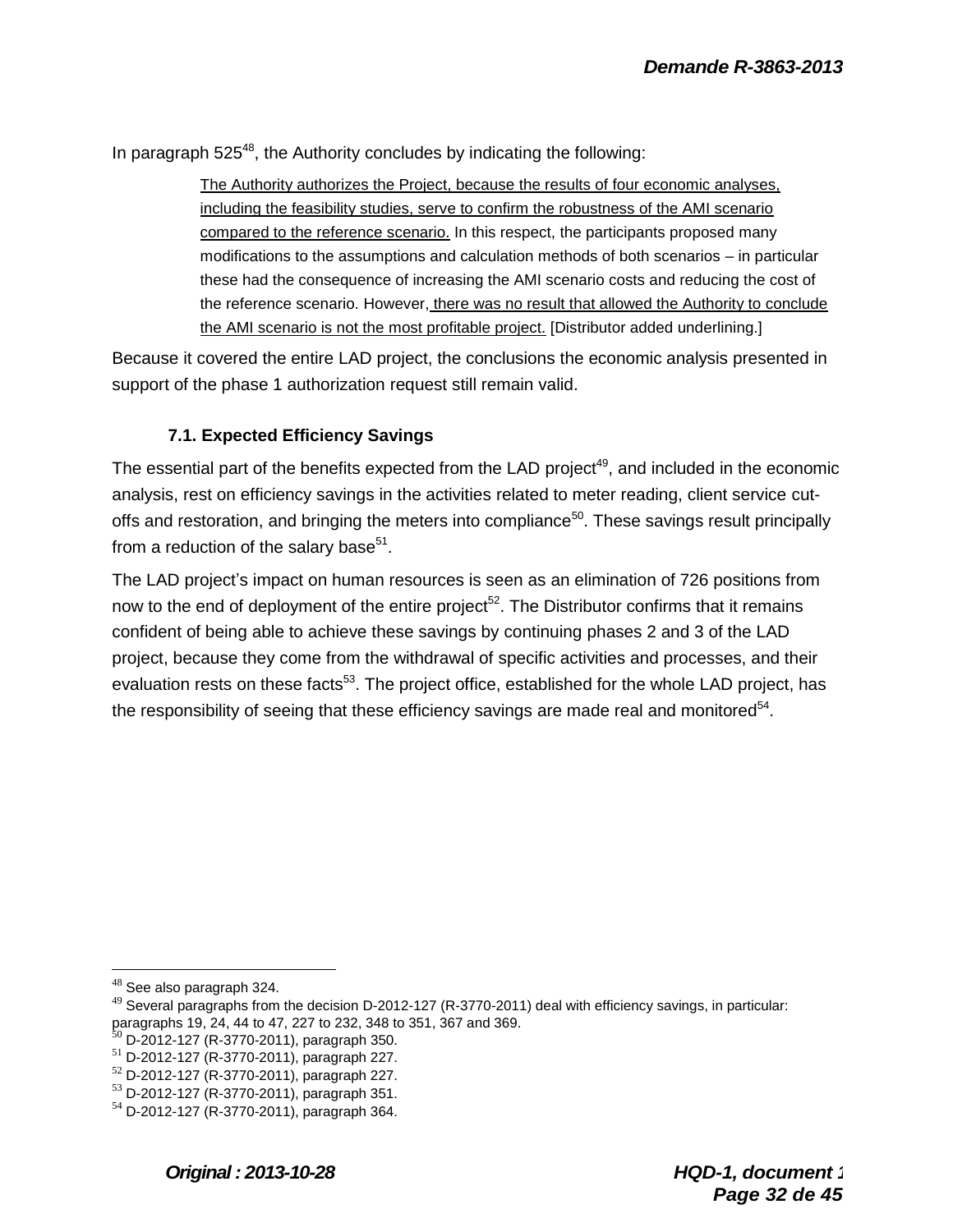In paragraph  $525^{48}$ , the Authority concludes by indicating the following:

The Authority authorizes the Project, because the results of four economic analyses, including the feasibility studies, serve to confirm the robustness of the AMI scenario compared to the reference scenario. In this respect, the participants proposed many modifications to the assumptions and calculation methods of both scenarios – in particular these had the consequence of increasing the AMI scenario costs and reducing the cost of the reference scenario. However, there was no result that allowed the Authority to conclude the AMI scenario is not the most profitable project. [Distributor added underlining.]

Because it covered the entire LAD project, the conclusions the economic analysis presented in support of the phase 1 authorization request still remain valid.

## **7.1. Expected Efficiency Savings**

The essential part of the benefits expected from the LAD project<sup>49</sup>, and included in the economic analysis, rest on efficiency savings in the activities related to meter reading, client service cutoffs and restoration, and bringing the meters into compliance<sup>50</sup>. These savings result principally from a reduction of the salary base $51$ .

The LAD project's impact on human resources is seen as an elimination of 726 positions from now to the end of deployment of the entire project<sup>52</sup>. The Distributor confirms that it remains confident of being able to achieve these savings by continuing phases 2 and 3 of the LAD project, because they come from the withdrawal of specific activities and processes, and their evaluation rests on these facts<sup>53</sup>. The project office, established for the whole LAD project, has the responsibility of seeing that these efficiency savings are made real and monitored $54$ .

 $^{48}$  See also paragraph 324.

<sup>49</sup> Several paragraphs from the decision D-2012-127 (R-3770-2011) deal with efficiency savings, in particular: paragraphs 19, 24, 44 to 47, 227 to 232, 348 to 351, 367 and 369.

 $^{50}$  D-2012-127 (R-3770-2011), paragraph 350.

 $51$  D-2012-127 (R-3770-2011), paragraph 227.

 $52$  D-2012-127 (R-3770-2011), paragraph 227.

 $^{53}$  D-2012-127 (R-3770-2011), paragraph 351.

 $54$  D-2012-127 (R-3770-2011), paragraph 364.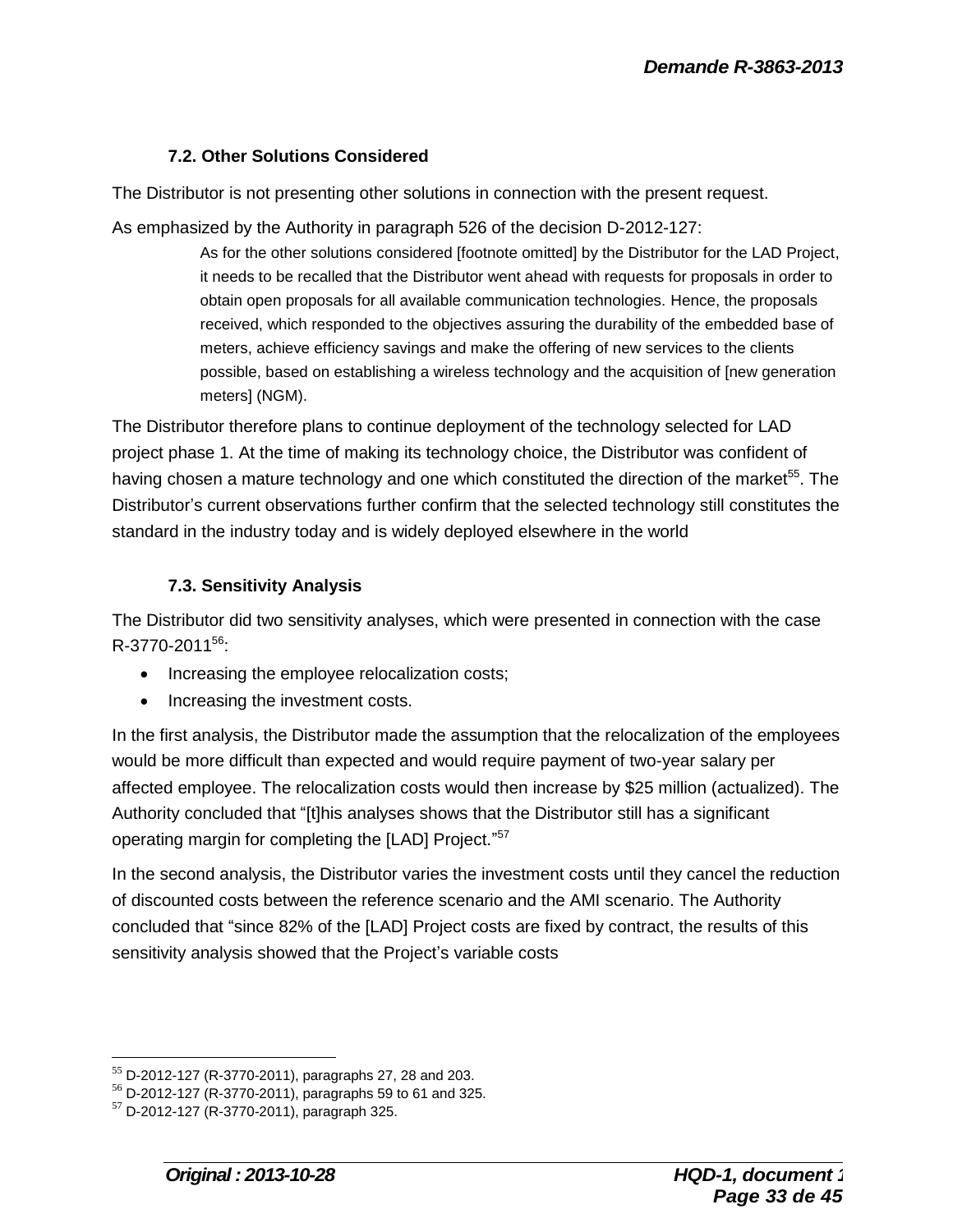## **7.2. Other Solutions Considered**

The Distributor is not presenting other solutions in connection with the present request.

As emphasized by the Authority in paragraph 526 of the decision D-2012-127:

As for the other solutions considered [footnote omitted] by the Distributor for the LAD Project, it needs to be recalled that the Distributor went ahead with requests for proposals in order to obtain open proposals for all available communication technologies. Hence, the proposals received, which responded to the objectives assuring the durability of the embedded base of meters, achieve efficiency savings and make the offering of new services to the clients possible, based on establishing a wireless technology and the acquisition of [new generation meters] (NGM).

The Distributor therefore plans to continue deployment of the technology selected for LAD project phase 1. At the time of making its technology choice, the Distributor was confident of having chosen a mature technology and one which constituted the direction of the market<sup>55</sup>. The Distributor's current observations further confirm that the selected technology still constitutes the standard in the industry today and is widely deployed elsewhere in the world

## **7.3. Sensitivity Analysis**

The Distributor did two sensitivity analyses, which were presented in connection with the case  $R - 3770 - 2011^{56}$ 

- Increasing the employee relocalization costs;
- Increasing the investment costs.

In the first analysis, the Distributor made the assumption that the relocalization of the employees would be more difficult than expected and would require payment of two-year salary per affected employee. The relocalization costs would then increase by \$25 million (actualized). The Authority concluded that "[t]his analyses shows that the Distributor still has a significant operating margin for completing the [LAD] Project."<sup>57</sup>

In the second analysis, the Distributor varies the investment costs until they cancel the reduction of discounted costs between the reference scenario and the AMI scenario. The Authority concluded that "since 82% of the [LAD] Project costs are fixed by contract, the results of this sensitivity analysis showed that the Project's variable costs

 $\overline{a}$ <sup>55</sup> D-2012-127 (R-3770-2011), paragraphs 27, 28 and 203.

<sup>56</sup> D-2012-127 (R-3770-2011), paragraphs 59 to 61 and 325.

 $57$  D-2012-127 (R-3770-2011), paragraph 325.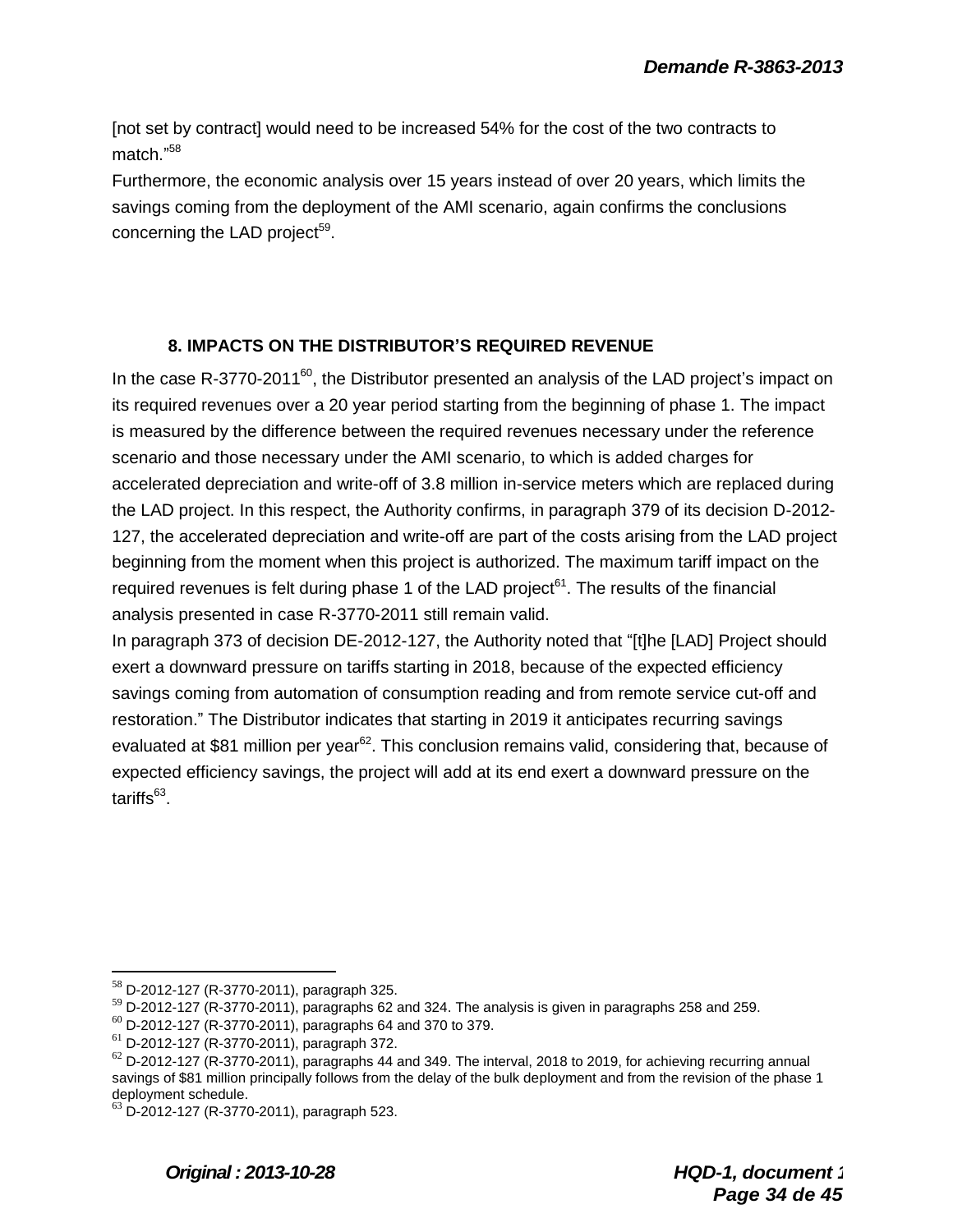[not set by contract] would need to be increased 54% for the cost of the two contracts to match." 58

Furthermore, the economic analysis over 15 years instead of over 20 years, which limits the savings coming from the deployment of the AMI scenario, again confirms the conclusions concerning the LAD project<sup>59</sup>.

## **8. IMPACTS ON THE DISTRIBUTOR'S REQUIRED REVENUE**

In the case R-3770-2011 $^{60}$ , the Distributor presented an analysis of the LAD project's impact on its required revenues over a 20 year period starting from the beginning of phase 1. The impact is measured by the difference between the required revenues necessary under the reference scenario and those necessary under the AMI scenario, to which is added charges for accelerated depreciation and write-off of 3.8 million in-service meters which are replaced during the LAD project. In this respect, the Authority confirms, in paragraph 379 of its decision D-2012- 127, the accelerated depreciation and write-off are part of the costs arising from the LAD project beginning from the moment when this project is authorized. The maximum tariff impact on the required revenues is felt during phase 1 of the LAD project $61$ . The results of the financial analysis presented in case R-3770-2011 still remain valid.

In paragraph 373 of decision DE-2012-127, the Authority noted that "[t]he [LAD] Project should exert a downward pressure on tariffs starting in 2018, because of the expected efficiency savings coming from automation of consumption reading and from remote service cut-off and restoration." The Distributor indicates that starting in 2019 it anticipates recurring savings evaluated at \$81 million per year<sup>62</sup>. This conclusion remains valid, considering that, because of expected efficiency savings, the project will add at its end exert a downward pressure on the tariffs<sup>63</sup>.

 $58$  D-2012-127 (R-3770-2011), paragraph 325.

 $^{59}$  D-2012-127 (R-3770-2011), paragraphs 62 and 324. The analysis is given in paragraphs 258 and 259.

 $^{60}$  D-2012-127 (R-3770-2011), paragraphs 64 and 370 to 379.

 $61$  D-2012-127 (R-3770-2011), paragraph 372.

 $^{62}$  D-2012-127 (R-3770-2011), paragraphs 44 and 349. The interval, 2018 to 2019, for achieving recurring annual savings of \$81 million principally follows from the delay of the bulk deployment and from the revision of the phase 1 deployment schedule.

 $^{63}$  D-2012-127 (R-3770-2011), paragraph 523.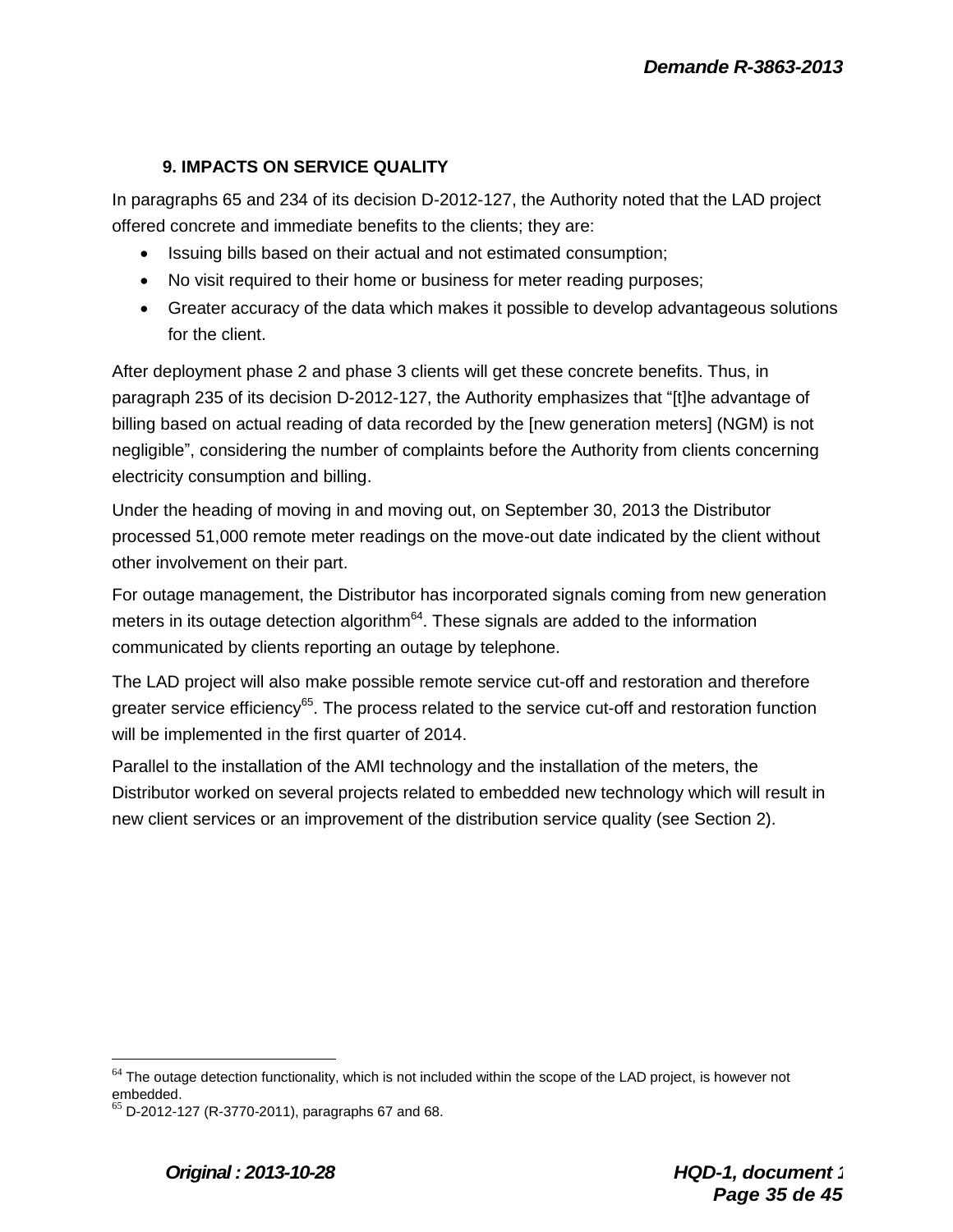## **9. IMPACTS ON SERVICE QUALITY**

In paragraphs 65 and 234 of its decision D-2012-127, the Authority noted that the LAD project offered concrete and immediate benefits to the clients; they are:

- Issuing bills based on their actual and not estimated consumption;
- No visit required to their home or business for meter reading purposes;
- Greater accuracy of the data which makes it possible to develop advantageous solutions for the client.

After deployment phase 2 and phase 3 clients will get these concrete benefits. Thus, in paragraph 235 of its decision D-2012-127, the Authority emphasizes that "[t]he advantage of billing based on actual reading of data recorded by the [new generation meters] (NGM) is not negligible", considering the number of complaints before the Authority from clients concerning electricity consumption and billing.

Under the heading of moving in and moving out, on September 30, 2013 the Distributor processed 51,000 remote meter readings on the move-out date indicated by the client without other involvement on their part.

For outage management, the Distributor has incorporated signals coming from new generation meters in its outage detection algorithm $^{64}$ . These signals are added to the information communicated by clients reporting an outage by telephone.

The LAD project will also make possible remote service cut-off and restoration and therefore greater service efficiency<sup>65</sup>. The process related to the service cut-off and restoration function will be implemented in the first quarter of 2014.

Parallel to the installation of the AMI technology and the installation of the meters, the Distributor worked on several projects related to embedded new technology which will result in new client services or an improvement of the distribution service quality (see Section 2).

 $\overline{a}$  $64$  The outage detection functionality, which is not included within the scope of the LAD project, is however not embedded.

 $^{65}$  D-2012-127 (R-3770-2011), paragraphs 67 and 68.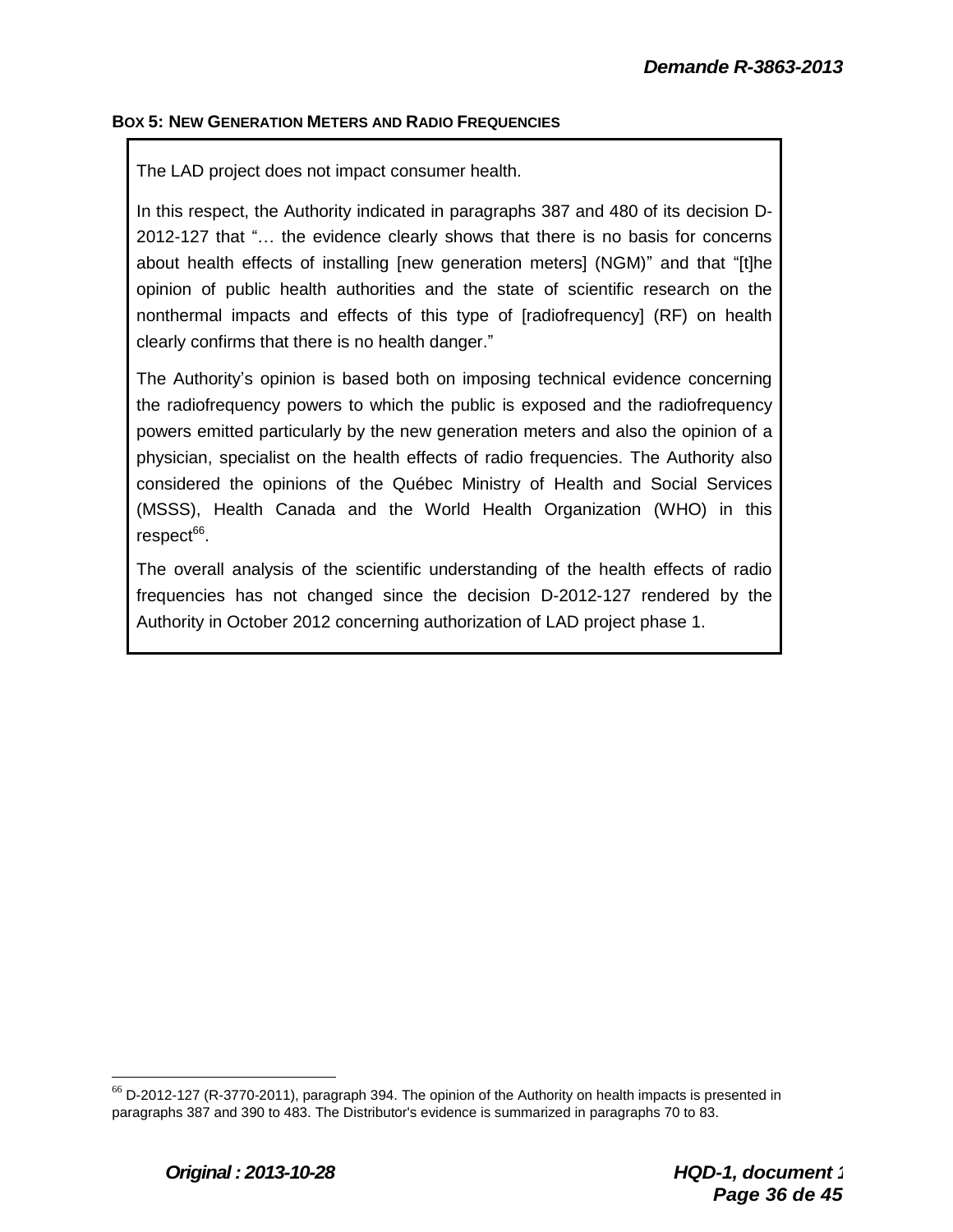## **BOX 5: NEW GENERATION METERS AND RADIO FREQUENCIES**

The LAD project does not impact consumer health.

In this respect, the Authority indicated in paragraphs 387 and 480 of its decision D-2012-127 that "… the evidence clearly shows that there is no basis for concerns about health effects of installing [new generation meters] (NGM)" and that "[t]he opinion of public health authorities and the state of scientific research on the nonthermal impacts and effects of this type of [radiofrequency] (RF) on health clearly confirms that there is no health danger."

The Authority's opinion is based both on imposing technical evidence concerning the radiofrequency powers to which the public is exposed and the radiofrequency powers emitted particularly by the new generation meters and also the opinion of a physician, specialist on the health effects of radio frequencies. The Authority also considered the opinions of the Québec Ministry of Health and Social Services (MSSS), Health Canada and the World Health Organization (WHO) in this respect<sup>66</sup>.

The overall analysis of the scientific understanding of the health effects of radio frequencies has not changed since the decision D-2012-127 rendered by the Authority in October 2012 concerning authorization of LAD project phase 1.

 $^{66}$  D-2012-127 (R-3770-2011), paragraph 394. The opinion of the Authority on health impacts is presented in paragraphs 387 and 390 to 483. The Distributor's evidence is summarized in paragraphs 70 to 83.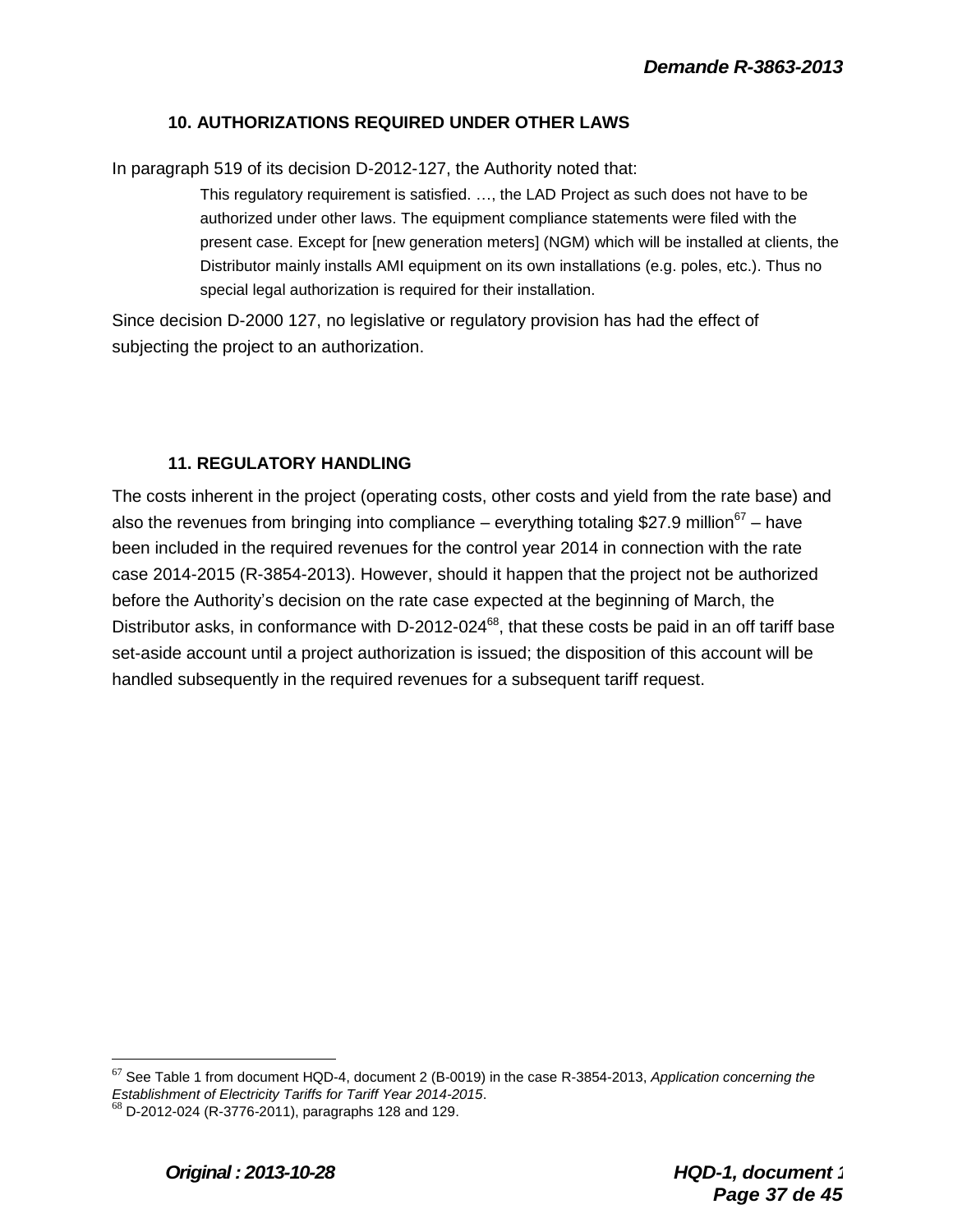## **10. AUTHORIZATIONS REQUIRED UNDER OTHER LAWS**

In paragraph 519 of its decision D-2012-127, the Authority noted that:

This regulatory requirement is satisfied. …, the LAD Project as such does not have to be authorized under other laws. The equipment compliance statements were filed with the present case. Except for [new generation meters] (NGM) which will be installed at clients, the Distributor mainly installs AMI equipment on its own installations (e.g. poles, etc.). Thus no special legal authorization is required for their installation.

Since decision D-2000 127, no legislative or regulatory provision has had the effect of subjecting the project to an authorization.

## **11. REGULATORY HANDLING**

The costs inherent in the project (operating costs, other costs and yield from the rate base) and also the revenues from bringing into compliance – everything totaling \$27.9 million<sup>67</sup> – have been included in the required revenues for the control year 2014 in connection with the rate case 2014-2015 (R-3854-2013). However, should it happen that the project not be authorized before the Authority's decision on the rate case expected at the beginning of March, the Distributor asks, in conformance with D-2012-024<sup>68</sup>, that these costs be paid in an off tariff base set-aside account until a project authorization is issued; the disposition of this account will be handled subsequently in the required revenues for a subsequent tariff request.

<sup>67</sup> See Table 1 from document HQD-4, document 2 (B-0019) in the case R-3854-2013, *Application concerning the Establishment of Electricity Tariffs for Tariff Year 2014-2015*.

 $^{68}$  D-2012-024 (R-3776-2011), paragraphs 128 and 129.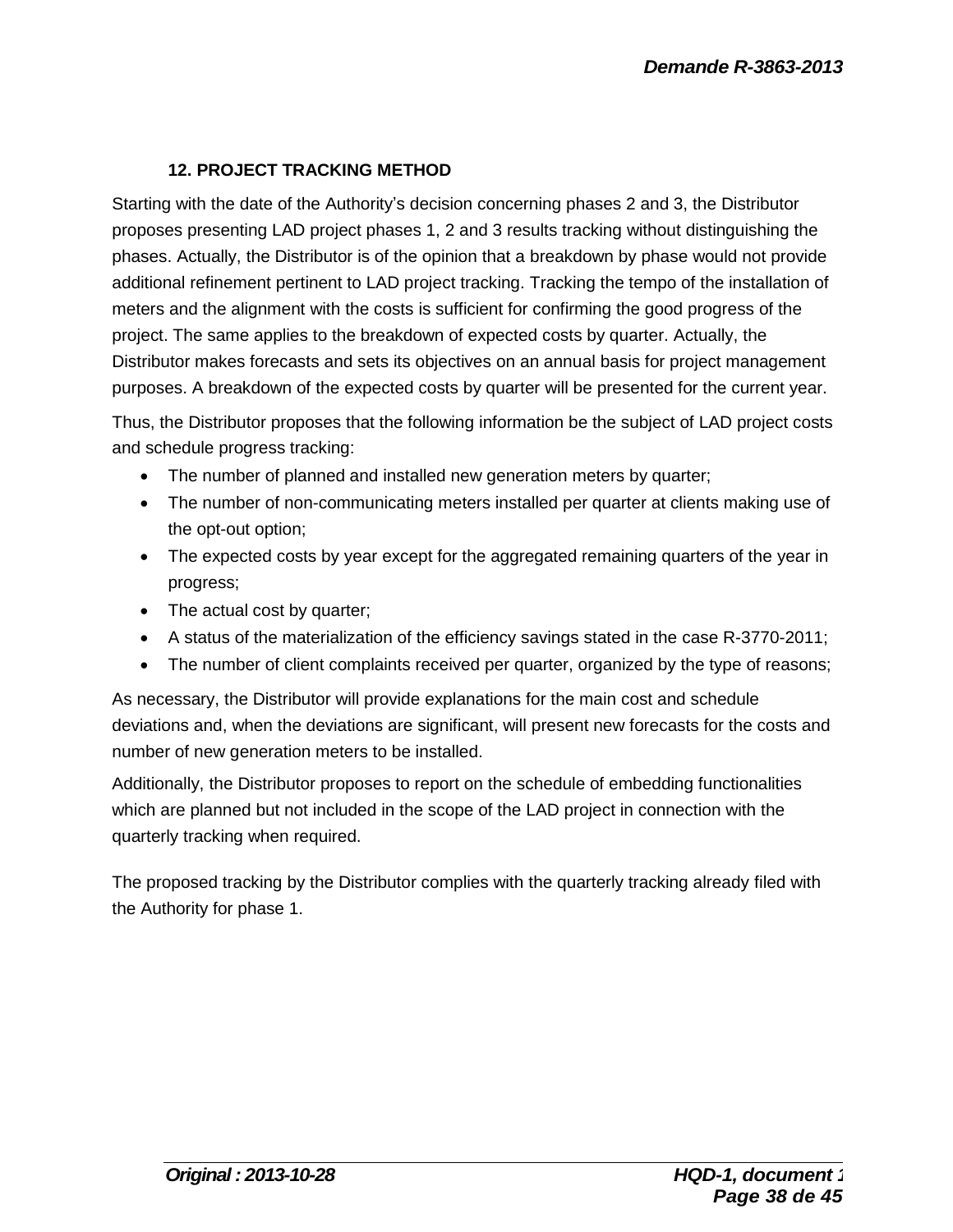## **12. PROJECT TRACKING METHOD**

Starting with the date of the Authority's decision concerning phases 2 and 3, the Distributor proposes presenting LAD project phases 1, 2 and 3 results tracking without distinguishing the phases. Actually, the Distributor is of the opinion that a breakdown by phase would not provide additional refinement pertinent to LAD project tracking. Tracking the tempo of the installation of meters and the alignment with the costs is sufficient for confirming the good progress of the project. The same applies to the breakdown of expected costs by quarter. Actually, the Distributor makes forecasts and sets its objectives on an annual basis for project management purposes. A breakdown of the expected costs by quarter will be presented for the current year.

Thus, the Distributor proposes that the following information be the subject of LAD project costs and schedule progress tracking:

- The number of planned and installed new generation meters by quarter;
- The number of non-communicating meters installed per quarter at clients making use of the opt-out option;
- The expected costs by year except for the aggregated remaining quarters of the year in progress;
- The actual cost by quarter;
- A status of the materialization of the efficiency savings stated in the case R-3770-2011;
- The number of client complaints received per quarter, organized by the type of reasons;

As necessary, the Distributor will provide explanations for the main cost and schedule deviations and, when the deviations are significant, will present new forecasts for the costs and number of new generation meters to be installed.

Additionally, the Distributor proposes to report on the schedule of embedding functionalities which are planned but not included in the scope of the LAD project in connection with the quarterly tracking when required.

The proposed tracking by the Distributor complies with the quarterly tracking already filed with the Authority for phase 1.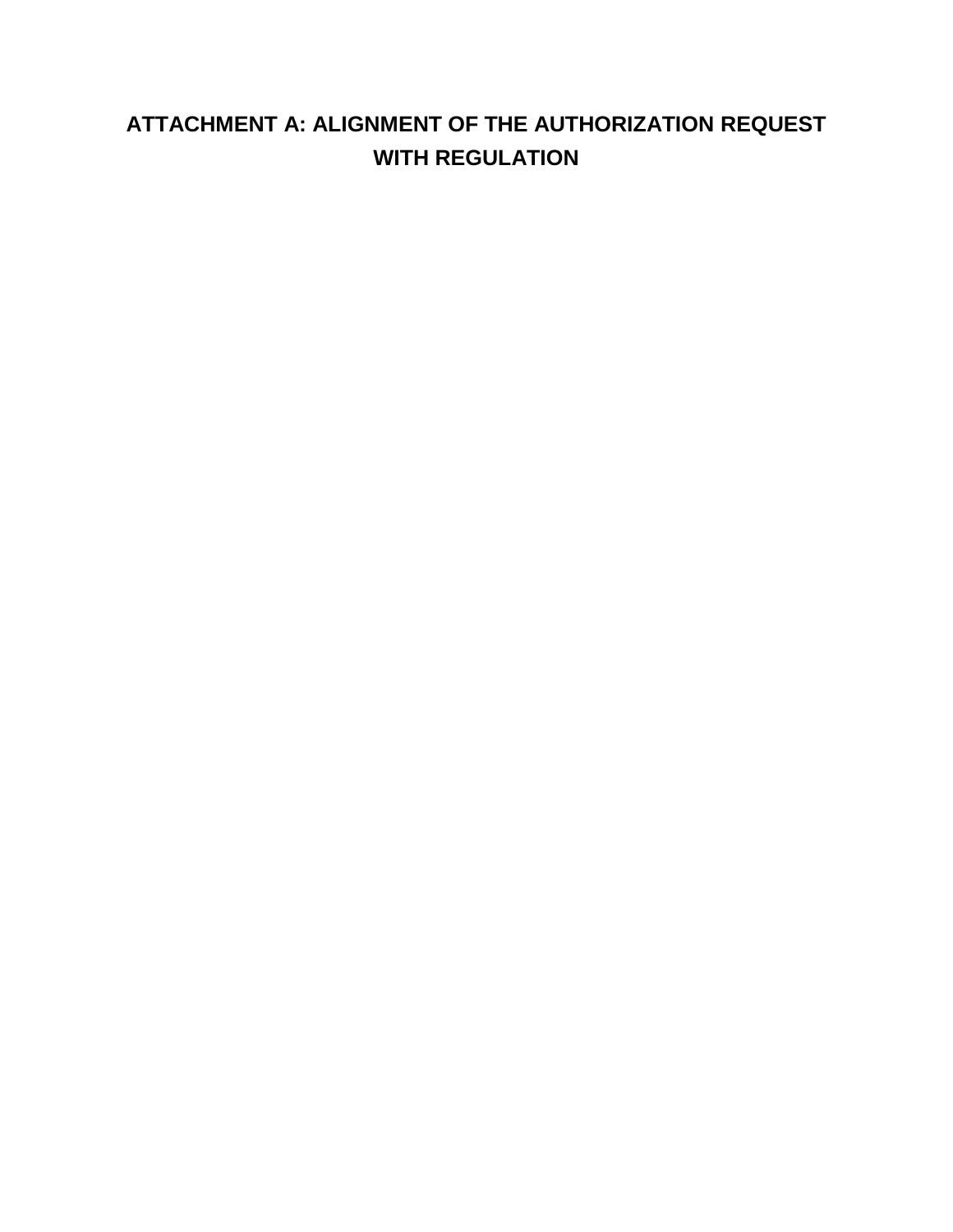# **ATTACHMENT A: ALIGNMENT OF THE AUTHORIZATION REQUEST WITH REGULATION**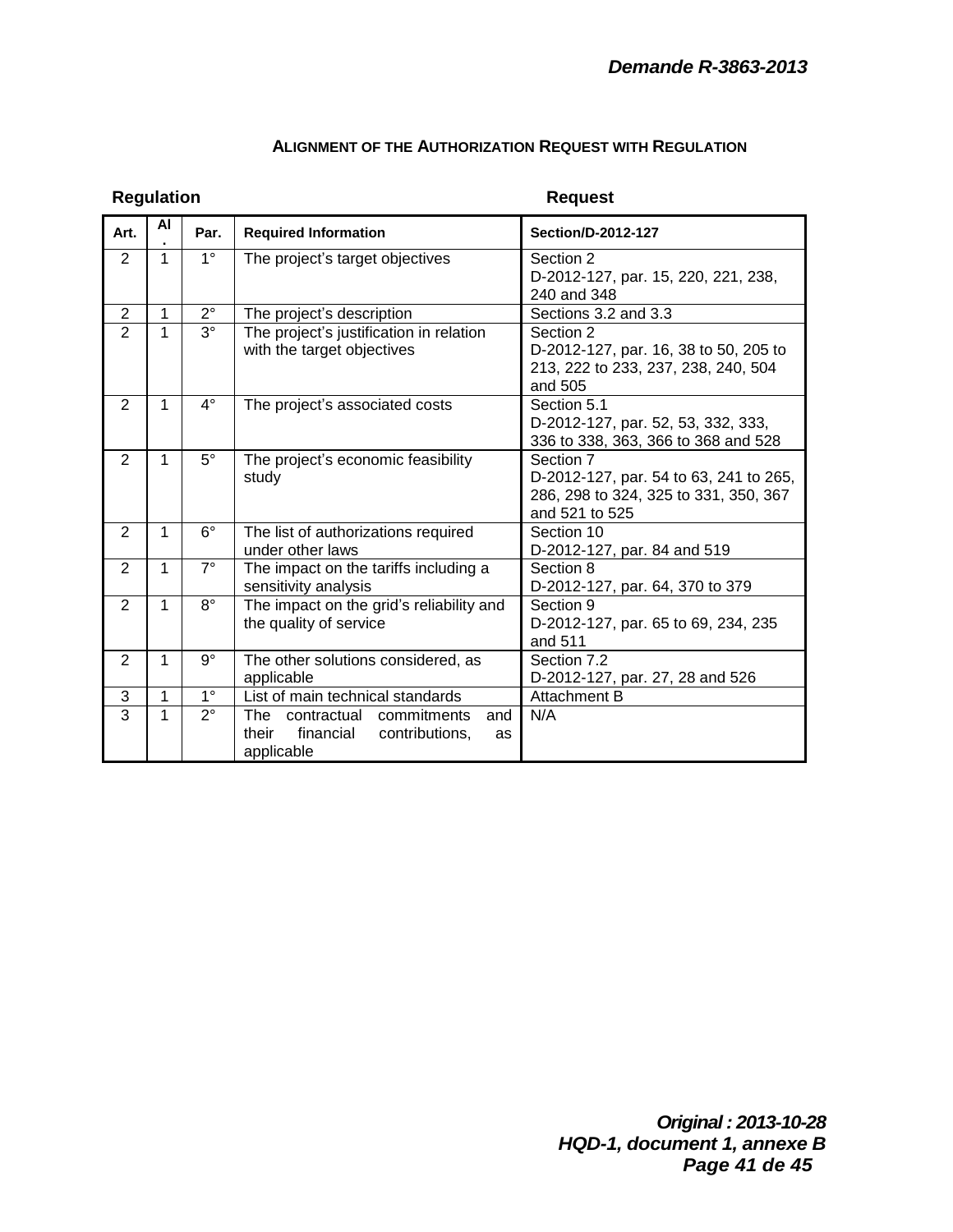| <b>Regulation</b> |    |             |                                                                                                      | <b>Request</b>                                                                                                 |
|-------------------|----|-------------|------------------------------------------------------------------------------------------------------|----------------------------------------------------------------------------------------------------------------|
| Art.              | AI | Par.        | <b>Required Information</b>                                                                          | <b>Section/D-2012-127</b>                                                                                      |
| 2                 | 1  | $1^{\circ}$ | The project's target objectives                                                                      | Section 2<br>D-2012-127, par. 15, 220, 221, 238,<br>240 and 348                                                |
| $\overline{2}$    | 1  | $2^{\circ}$ | The project's description                                                                            | Sections 3.2 and 3.3                                                                                           |
| $\overline{2}$    | 1  | $3^\circ$   | The project's justification in relation<br>with the target objectives                                | Section 2<br>D-2012-127, par. 16, 38 to 50, 205 to<br>213, 222 to 233, 237, 238, 240, 504<br>and 505           |
| 2                 | 1  | $4^{\circ}$ | The project's associated costs                                                                       | Section 5.1<br>D-2012-127, par. 52, 53, 332, 333,<br>336 to 338, 363, 366 to 368 and 528                       |
| $\overline{2}$    | 1  | $5^{\circ}$ | The project's economic feasibility<br>study                                                          | Section 7<br>D-2012-127, par. 54 to 63, 241 to 265,<br>286, 298 to 324, 325 to 331, 350, 367<br>and 521 to 525 |
| 2                 | 1  | $6^{\circ}$ | The list of authorizations required<br>under other laws                                              | Section 10<br>D-2012-127, par. 84 and 519                                                                      |
| 2                 | 1  | $7^\circ$   | The impact on the tariffs including a<br>sensitivity analysis                                        | Section 8<br>D-2012-127, par. 64, 370 to 379                                                                   |
| 2                 | 1  | $8^{\circ}$ | The impact on the grid's reliability and<br>the quality of service                                   | Section 9<br>D-2012-127, par. 65 to 69, 234, 235<br>and 511                                                    |
| $\overline{2}$    | 1  | $9^{\circ}$ | The other solutions considered, as<br>applicable                                                     | Section 7.2<br>D-2012-127, par. 27, 28 and 526                                                                 |
| 3                 | 1  | $1^{\circ}$ | List of main technical standards                                                                     | Attachment B                                                                                                   |
| $\overline{3}$    | 1  | $2^{\circ}$ | contractual<br>commitments<br>The<br>and<br>financial<br>contributions,<br>their<br>as<br>applicable | N/A                                                                                                            |

#### **ALIGNMENT OF THE AUTHORIZATION REQUEST WITH REGULATION**

*Original : 2013-10-28 HQD-1, document 1, annexe B Page 41 de 45*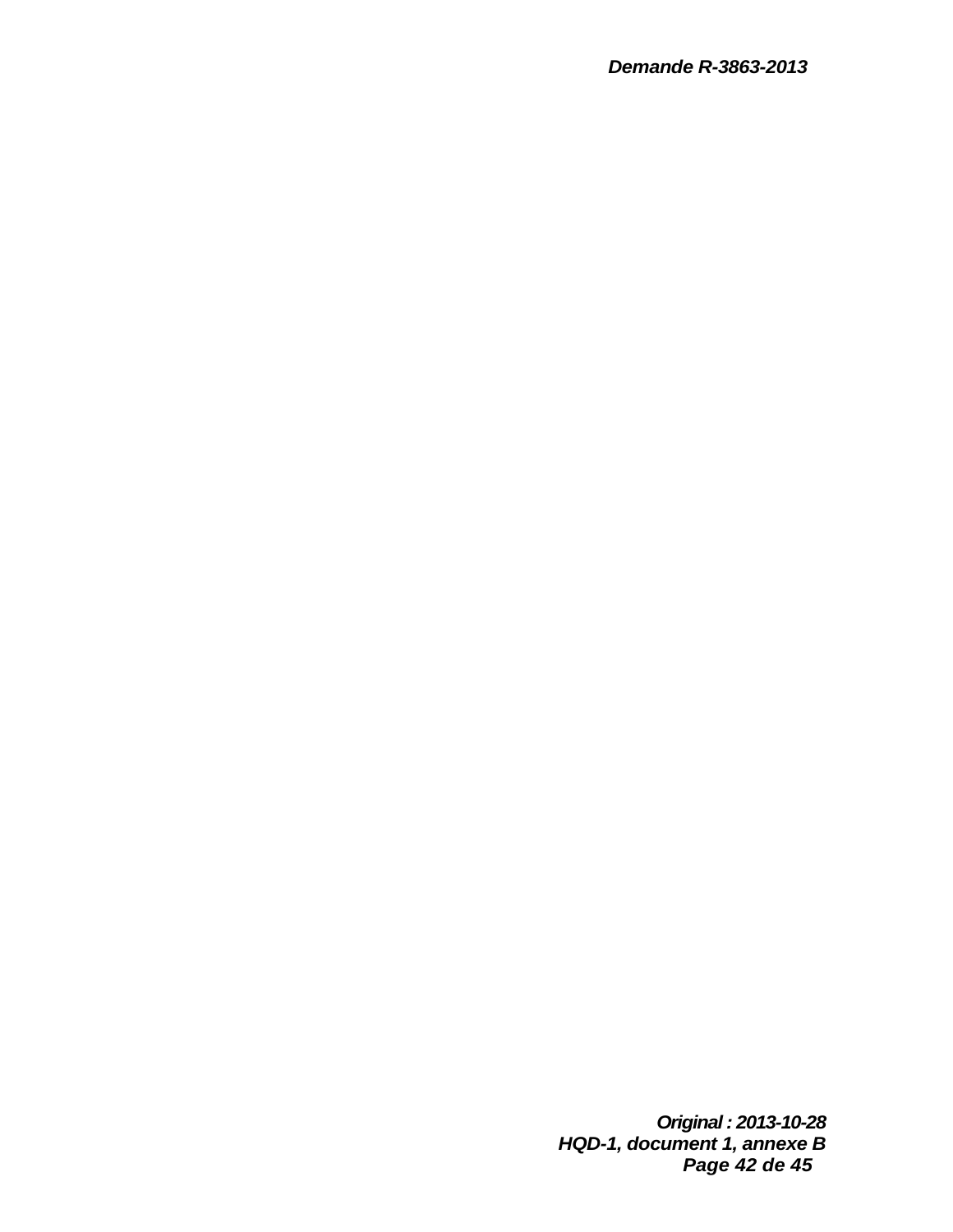*Original : 2013-10-28 HQD-1, document 1, annexe B Page 42 de 45*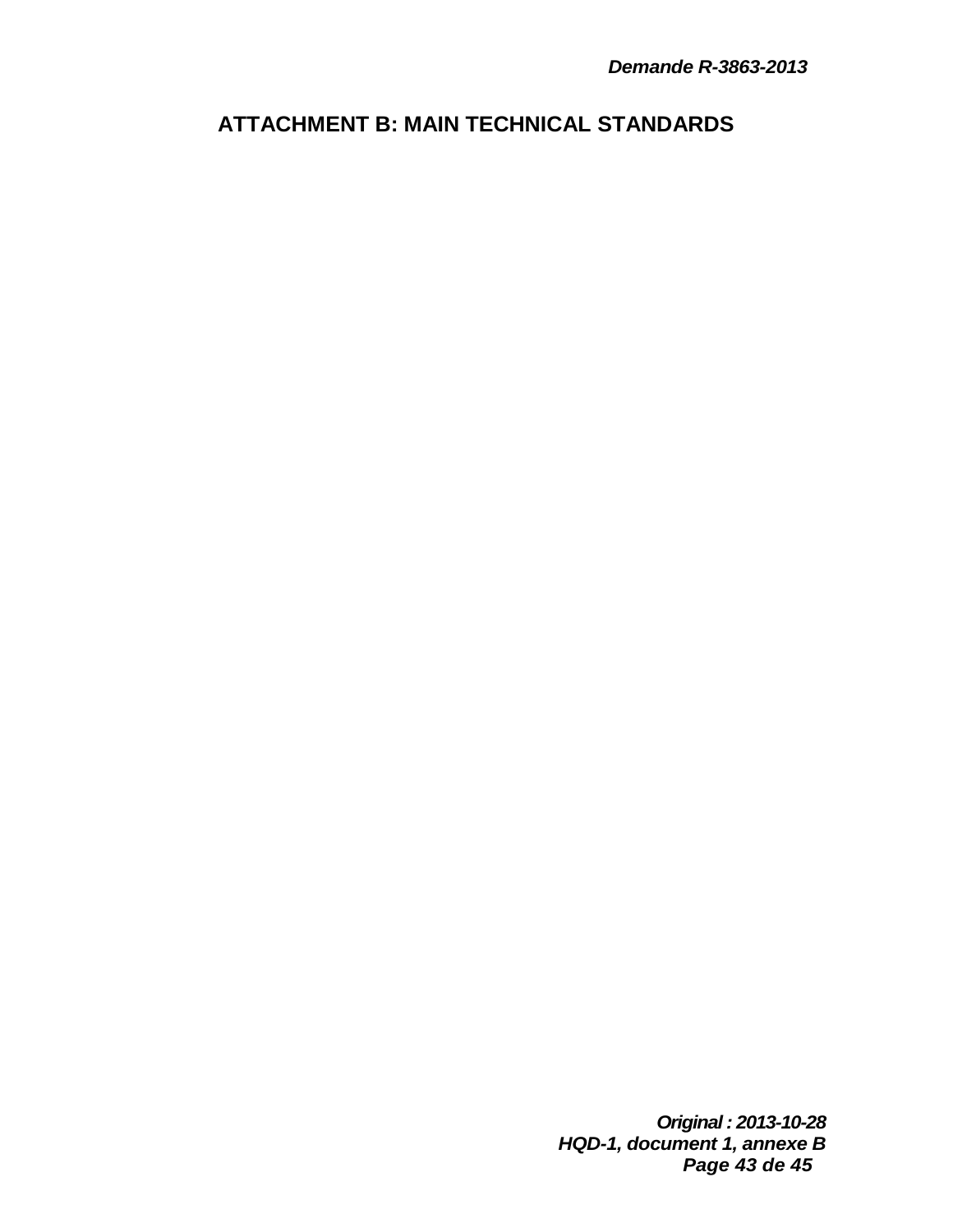## **ATTACHMENT B: MAIN TECHNICAL STANDARDS**

*Original : 2013-10-28 HQD-1, document 1, annexe B Page 43 de 45*